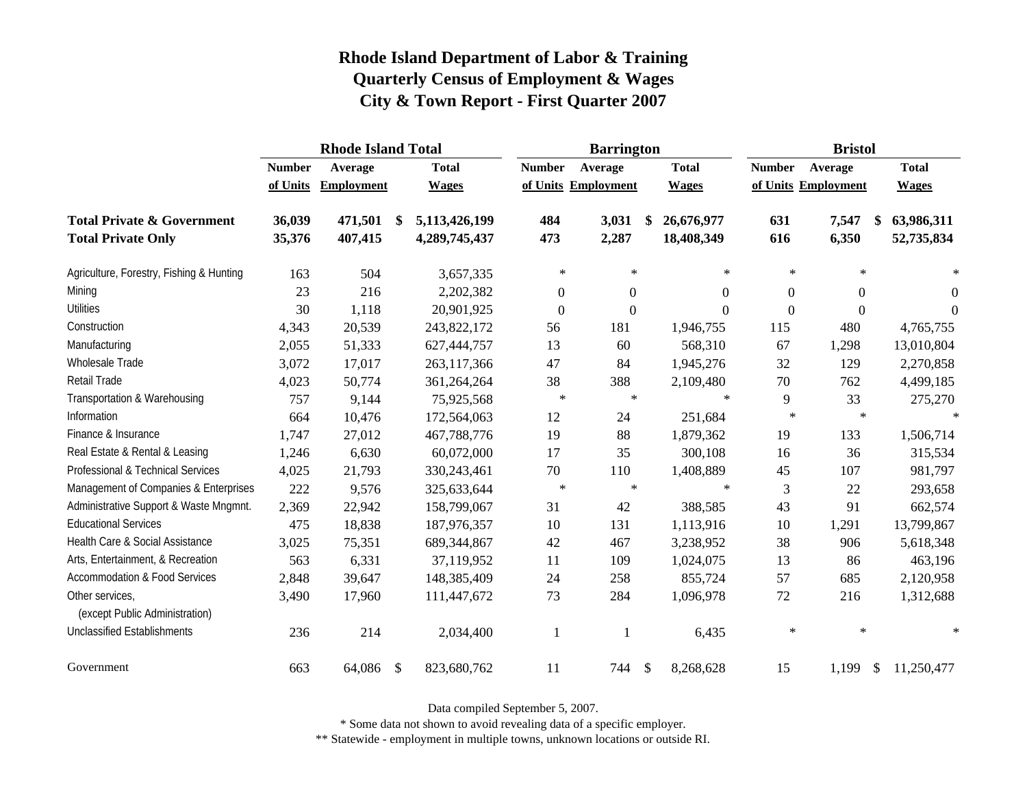|                                                   |               | <b>Rhode Island Total</b> |               |               |                  | <b>Barrington</b>   |                  | <b>Bristol</b>   |                        |                |  |
|---------------------------------------------------|---------------|---------------------------|---------------|---------------|------------------|---------------------|------------------|------------------|------------------------|----------------|--|
|                                                   | <b>Number</b> | Average                   |               | <b>Total</b>  | <b>Number</b>    | Average             | <b>Total</b>     | <b>Number</b>    | Average                | <b>Total</b>   |  |
|                                                   | of Units      | <b>Employment</b>         |               | <b>Wages</b>  |                  | of Units Employment | <b>Wages</b>     |                  | of Units Employment    | <b>Wages</b>   |  |
| <b>Total Private &amp; Government</b>             | 36,039        | 471,501                   | -\$           | 5,113,426,199 | 484              | 3,031               | \$<br>26,676,977 | 631              | 7,547<br>\$            | 63,986,311     |  |
| <b>Total Private Only</b>                         | 35,376        | 407,415                   |               | 4,289,745,437 | 473              | 2,287               | 18,408,349       | 616              | 6,350                  | 52,735,834     |  |
| Agriculture, Forestry, Fishing & Hunting          | 163           | 504                       |               | 3,657,335     | $\ast$           | $\ast$              | $\ast$           | $\ast$           | $\ast$                 | $\ast$         |  |
| Mining                                            | 23            | 216                       |               | 2,202,382     | $\boldsymbol{0}$ | $\theta$            | $\Omega$         | $\boldsymbol{0}$ | $\overline{0}$         | 0              |  |
| <b>Utilities</b>                                  | 30            | 1,118                     |               | 20,901,925    | $\boldsymbol{0}$ | $\mathbf{0}$        | $\Omega$         | $\boldsymbol{0}$ | $\boldsymbol{0}$       | $\overline{0}$ |  |
| Construction                                      | 4,343         | 20,539                    |               | 243,822,172   | 56               | 181                 | 1,946,755        | 115              | 480                    | 4,765,755      |  |
| Manufacturing                                     | 2,055         | 51,333                    |               | 627,444,757   | 13               | 60                  | 568,310          | 67               | 1,298                  | 13,010,804     |  |
| <b>Wholesale Trade</b>                            | 3,072         | 17,017                    |               | 263,117,366   | 47               | 84                  | 1,945,276        | 32               | 129                    | 2,270,858      |  |
| Retail Trade                                      | 4,023         | 50,774                    |               | 361,264,264   | 38               | 388                 | 2,109,480        | 70               | 762                    | 4,499,185      |  |
| Transportation & Warehousing                      | 757           | 9,144                     |               | 75,925,568    | $\ast$           | $\ast$              | $\ast$           | 9                | 33                     | 275,270        |  |
| Information                                       | 664           | 10,476                    |               | 172,564,063   | 12               | 24                  | 251,684          | $\ast$           | $\ast$                 | $\ast$         |  |
| Finance & Insurance                               | 1,747         | 27,012                    |               | 467,788,776   | 19               | 88                  | 1,879,362        | 19               | 133                    | 1,506,714      |  |
| Real Estate & Rental & Leasing                    | 1,246         | 6,630                     |               | 60,072,000    | 17               | 35                  | 300,108          | 16               | 36                     | 315,534        |  |
| Professional & Technical Services                 | 4,025         | 21,793                    |               | 330, 243, 461 | 70               | 110                 | 1,408,889        | 45               | 107                    | 981,797        |  |
| Management of Companies & Enterprises             | 222           | 9,576                     |               | 325,633,644   | $\ast$           | $\ast$              | $\ast$           | 3                | 22                     | 293,658        |  |
| Administrative Support & Waste Mngmnt.            | 2,369         | 22,942                    |               | 158,799,067   | 31               | 42                  | 388,585          | 43               | 91                     | 662,574        |  |
| <b>Educational Services</b>                       | 475           | 18,838                    |               | 187,976,357   | 10               | 131                 | 1,113,916        | 10               | 1,291                  | 13,799,867     |  |
| Health Care & Social Assistance                   | 3,025         | 75,351                    |               | 689,344,867   | 42               | 467                 | 3,238,952        | 38               | 906                    | 5,618,348      |  |
| Arts, Entertainment, & Recreation                 | 563           | 6,331                     |               | 37,119,952    | 11               | 109                 | 1,024,075        | 13               | 86                     | 463,196        |  |
| <b>Accommodation &amp; Food Services</b>          | 2,848         | 39,647                    |               | 148,385,409   | 24               | 258                 | 855,724          | 57               | 685                    | 2,120,958      |  |
| Other services,<br>(except Public Administration) | 3,490         | 17,960                    |               | 111,447,672   | 73               | 284                 | 1,096,978        | 72               | 216                    | 1,312,688      |  |
| <b>Unclassified Establishments</b>                | 236           | 214                       |               | 2,034,400     | 1                | -1                  | 6,435            | $\ast$           | $\ast$                 | $\ast$         |  |
| Government                                        | 663           | 64,086                    | $\mathcal{S}$ | 823,680,762   | 11               | 744                 | \$<br>8,268,628  | 15               | $\mathcal{S}$<br>1,199 | 11,250,477     |  |

Data compiled September 5, 2007.

\* Some data not shown to avoid revealing data of a specific employer.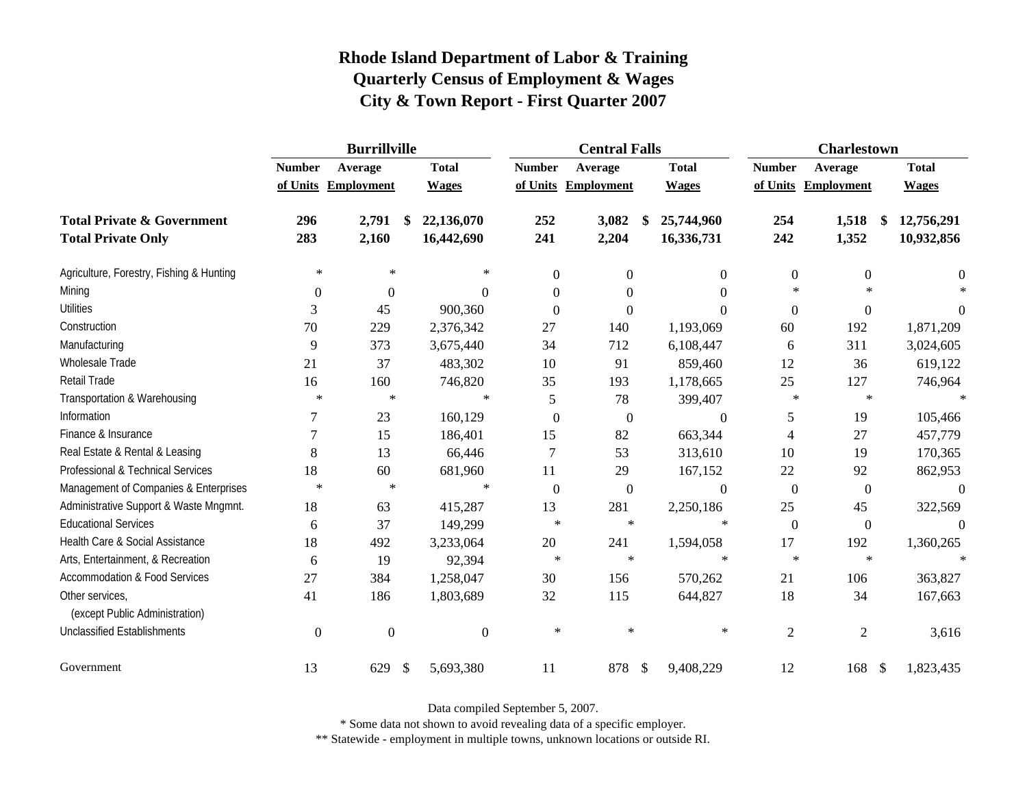|                                                   | <b>Burrillville</b> |                     |                           |              | <b>Central Falls</b> |                     |    |                  | <b>Charlestown</b> |                                |                |  |
|---------------------------------------------------|---------------------|---------------------|---------------------------|--------------|----------------------|---------------------|----|------------------|--------------------|--------------------------------|----------------|--|
|                                                   | <b>Number</b>       | Average             |                           | <b>Total</b> | <b>Number</b>        | Average             |    | <b>Total</b>     | <b>Number</b>      | Average                        | <b>Total</b>   |  |
|                                                   |                     | of Units Employment |                           | <b>Wages</b> |                      | of Units Employment |    | <b>Wages</b>     |                    | of Units Employment            | <b>Wages</b>   |  |
| <b>Total Private &amp; Government</b>             | 296                 | 2,791               | \$                        | 22,136,070   | 252                  | 3,082               | \$ | 25,744,960       | 254                | 1,518<br>\$                    | 12,756,291     |  |
| <b>Total Private Only</b>                         | 283                 | 2,160               |                           | 16,442,690   | 241                  | 2,204               |    | 16,336,731       | 242                | 1,352                          | 10,932,856     |  |
| Agriculture, Forestry, Fishing & Hunting          | $\ast$              | $\ast$              |                           | $\ast$       | $\mathbf{0}$         | $\boldsymbol{0}$    |    | $\boldsymbol{0}$ | $\boldsymbol{0}$   | $\boldsymbol{0}$               | $\overline{0}$ |  |
| Mining                                            | $\boldsymbol{0}$    | $\boldsymbol{0}$    |                           | $\Omega$     | $\Omega$             | $\theta$            |    | $\Omega$         | $\ast$             | $\star$                        |                |  |
| <b>Utilities</b>                                  | 3                   | 45                  |                           | 900,360      | $\Omega$             | $\overline{0}$      |    | $\Omega$         | $\overline{0}$     | $\boldsymbol{0}$               | $\theta$       |  |
| Construction                                      | 70                  | 229                 |                           | 2,376,342    | 27                   | 140                 |    | 1,193,069        | 60                 | 192                            | 1,871,209      |  |
| Manufacturing                                     | 9                   | 373                 |                           | 3,675,440    | 34                   | 712                 |    | 6,108,447        | 6                  | 311                            | 3,024,605      |  |
| Wholesale Trade                                   | 21                  | 37                  |                           | 483,302      | 10                   | 91                  |    | 859,460          | 12                 | 36                             | 619,122        |  |
| Retail Trade                                      | 16                  | 160                 |                           | 746,820      | 35                   | 193                 |    | 1,178,665        | 25                 | 127                            | 746,964        |  |
| Transportation & Warehousing                      | $\ast$              | $\ast$              |                           | $\ast$       | $\sqrt{5}$           | 78                  |    | 399,407          | $\ast$             | $\ast$                         | $\ast$         |  |
| Information                                       | 7                   | 23                  |                           | 160,129      | $\boldsymbol{0}$     | $\overline{0}$      |    | $\Omega$         | 5                  | 19                             | 105,466        |  |
| Finance & Insurance                               | 7                   | 15                  |                           | 186,401      | 15                   | 82                  |    | 663,344          | 4                  | 27                             | 457,779        |  |
| Real Estate & Rental & Leasing                    | 8                   | 13                  |                           | 66,446       | 7                    | 53                  |    | 313,610          | 10                 | 19                             | 170,365        |  |
| Professional & Technical Services                 | 18                  | 60                  |                           | 681,960      | 11                   | 29                  |    | 167,152          | 22                 | 92                             | 862,953        |  |
| Management of Companies & Enterprises             | $\ast$              | $\ast$              |                           | $\ast$       | $\theta$             | $\mathbf{0}$        |    | $\Omega$         | $\overline{0}$     | $\boldsymbol{0}$               | $\theta$       |  |
| Administrative Support & Waste Mngmnt.            | 18                  | 63                  |                           | 415,287      | 13                   | 281                 |    | 2,250,186        | 25                 | 45                             | 322,569        |  |
| <b>Educational Services</b>                       | 6                   | 37                  |                           | 149,299      | $\ast$               | $\ast$              |    | $\ast$           | $\mathbf{0}$       | $\boldsymbol{0}$               | $\Omega$       |  |
| Health Care & Social Assistance                   | 18                  | 492                 |                           | 3,233,064    | 20                   | 241                 |    | 1,594,058        | 17                 | 192                            | 1,360,265      |  |
| Arts, Entertainment, & Recreation                 | 6                   | 19                  |                           | 92,394       | $\ast$               | $\ast$              |    | $\ast$           | $\ast$             | $\ast$                         | $\ast$         |  |
| Accommodation & Food Services                     | 27                  | 384                 |                           | 1,258,047    | 30                   | 156                 |    | 570,262          | 21                 | 106                            | 363,827        |  |
| Other services,<br>(except Public Administration) | 41                  | 186                 |                           | 1,803,689    | 32                   | 115                 |    | 644,827          | 18                 | 34                             | 167,663        |  |
| <b>Unclassified Establishments</b>                | $\overline{0}$      | $\boldsymbol{0}$    |                           | $\theta$     | $\ast$               | $\ast$              |    | $\ast$           | $\overline{2}$     | $\mathfrak{2}$                 | 3,616          |  |
| Government                                        | 13                  | 629                 | $\boldsymbol{\mathsf{S}}$ | 5,693,380    | 11                   | 878                 | \$ | 9,408,229        | 12                 | 168<br>$\sqrt[6]{\frac{1}{2}}$ | 1,823,435      |  |

Data compiled September 5, 2007.

\* Some data not shown to avoid revealing data of a specific employer.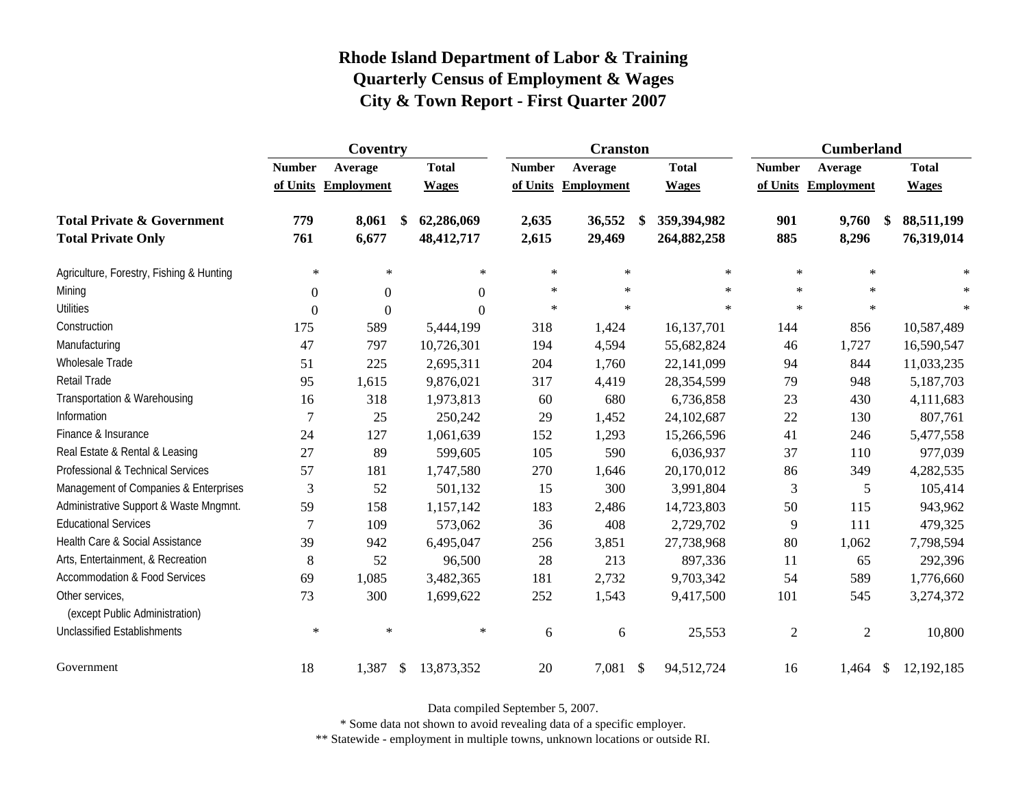|                                                   | Coventry       |                        |              |               | <b>Cranston</b>     |              | <b>Cumberland</b> |                     |                  |
|---------------------------------------------------|----------------|------------------------|--------------|---------------|---------------------|--------------|-------------------|---------------------|------------------|
|                                                   | <b>Number</b>  | Average                | <b>Total</b> | <b>Number</b> | Average             | <b>Total</b> | <b>Number</b>     | Average             | <b>Total</b>     |
|                                                   |                | of Units Employment    | <b>Wages</b> |               | of Units Employment | <b>Wages</b> |                   | of Units Employment | <b>Wages</b>     |
| <b>Total Private &amp; Government</b>             | 779            | 8,061<br>\$            | 62,286,069   | 2,635         | 36,552              | 359,394,982  | 901               | 9,760               | 88,511,199<br>\$ |
| <b>Total Private Only</b>                         | 761            | 6,677                  | 48,412,717   | 2,615         | 29,469              | 264,882,258  | 885               | 8,296               | 76,319,014       |
| Agriculture, Forestry, Fishing & Hunting          | $\ast$         | $\ast$                 | $\ast$       | $\ast$        | $\ast$              | $\ast$       | $\ast$            | $\ast$              | $\ast$           |
| Mining                                            | $\Omega$       | $\Omega$               | $\Omega$     | $\ast$        | $\ast$              | $\ast$       | $\ast$            | $\star$             | $\ast$           |
| <b>Utilities</b>                                  | $\overline{0}$ | $\theta$               | $\Omega$     | $\ast$        | $\ast$              | $\star$      | $\ast$            | $\star$             | $\ast$           |
| Construction                                      | 175            | 589                    | 5,444,199    | 318           | 1,424               | 16,137,701   | 144               | 856                 | 10,587,489       |
| Manufacturing                                     | 47             | 797                    | 10,726,301   | 194           | 4,594               | 55,682,824   | 46                | 1,727               | 16,590,547       |
| <b>Wholesale Trade</b>                            | 51             | 225                    | 2,695,311    | 204           | 1,760               | 22,141,099   | 94                | 844                 | 11,033,235       |
| Retail Trade                                      | 95             | 1,615                  | 9,876,021    | 317           | 4,419               | 28,354,599   | 79                | 948                 | 5,187,703        |
| Transportation & Warehousing                      | 16             | 318                    | 1,973,813    | 60            | 680                 | 6,736,858    | 23                | 430                 | 4,111,683        |
| Information                                       | 7              | 25                     | 250,242      | 29            | 1,452               | 24,102,687   | 22                | 130                 | 807,761          |
| Finance & Insurance                               | 24             | 127                    | 1,061,639    | 152           | 1,293               | 15,266,596   | 41                | 246                 | 5,477,558        |
| Real Estate & Rental & Leasing                    | 27             | 89                     | 599,605      | 105           | 590                 | 6,036,937    | 37                | 110                 | 977,039          |
| Professional & Technical Services                 | 57             | 181                    | 1,747,580    | 270           | 1,646               | 20,170,012   | 86                | 349                 | 4,282,535        |
| Management of Companies & Enterprises             | 3              | 52                     | 501,132      | 15            | 300                 | 3,991,804    | 3                 | 5                   | 105,414          |
| Administrative Support & Waste Mngmnt.            | 59             | 158                    | 1,157,142    | 183           | 2,486               | 14,723,803   | 50                | 115                 | 943,962          |
| <b>Educational Services</b>                       | $\tau$         | 109                    | 573,062      | 36            | 408                 | 2,729,702    | 9                 | 111                 | 479,325          |
| Health Care & Social Assistance                   | 39             | 942                    | 6,495,047    | 256           | 3,851               | 27,738,968   | 80                | 1,062               | 7,798,594        |
| Arts, Entertainment, & Recreation                 | 8              | 52                     | 96,500       | 28            | 213                 | 897,336      | 11                | 65                  | 292,396          |
| Accommodation & Food Services                     | 69             | 1,085                  | 3,482,365    | 181           | 2,732               | 9,703,342    | 54                | 589                 | 1,776,660        |
| Other services,<br>(except Public Administration) | 73             | 300                    | 1,699,622    | 252           | 1,543               | 9,417,500    | 101               | 545                 | 3,274,372        |
| <b>Unclassified Establishments</b>                | $\ast$         | $\ast$                 | $\ast$       | 6             | 6                   | 25,553       | $\overline{2}$    | $\overline{c}$      | 10,800           |
| Government                                        | 18             | 1,387<br>$\mathcal{S}$ | 13,873,352   | 20            | 7,081 \$            | 94,512,724   | 16                | $1,464$ \$          | 12,192,185       |

Data compiled September 5, 2007.

\* Some data not shown to avoid revealing data of a specific employer.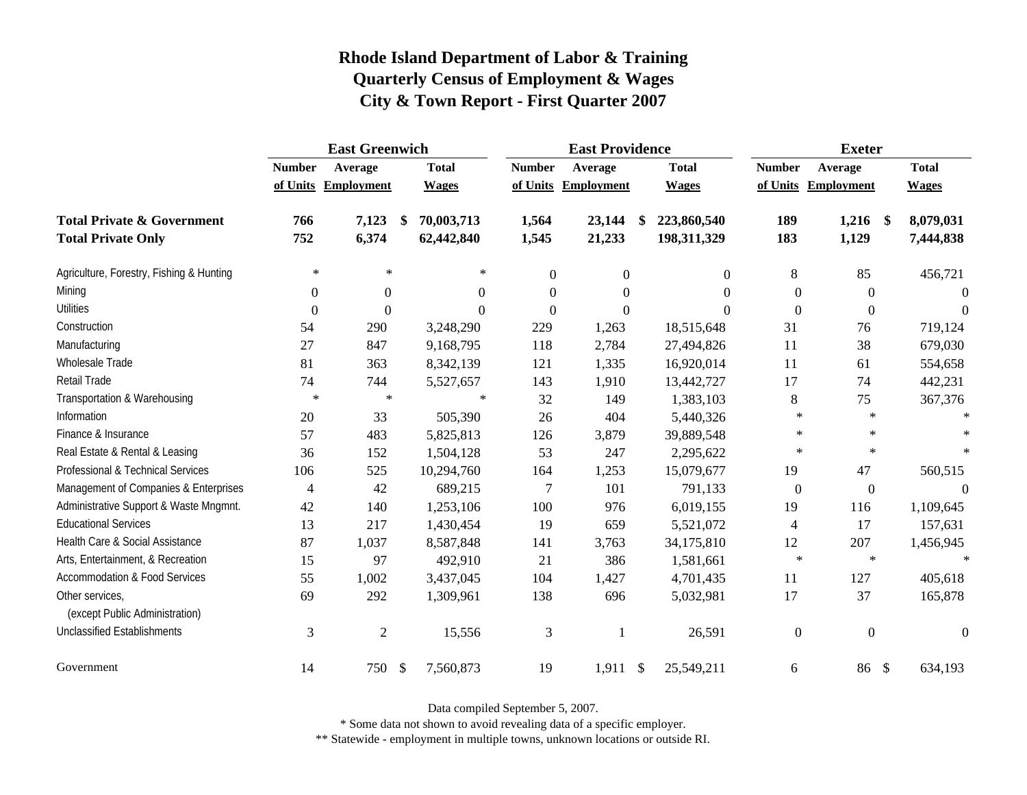|                                                   | <b>East Greenwich</b> |                     |                           |              | <b>East Providence</b> |                     |    |              | <b>Exeter</b>    |                     |              |  |
|---------------------------------------------------|-----------------------|---------------------|---------------------------|--------------|------------------------|---------------------|----|--------------|------------------|---------------------|--------------|--|
|                                                   | <b>Number</b>         | Average             |                           | <b>Total</b> | <b>Number</b>          | Average             |    | <b>Total</b> | <b>Number</b>    | Average             | <b>Total</b> |  |
|                                                   |                       | of Units Employment |                           | <b>Wages</b> |                        | of Units Employment |    | <b>Wages</b> |                  | of Units Employment | <b>Wages</b> |  |
| <b>Total Private &amp; Government</b>             | 766                   | 7,123               | \$                        | 70,003,713   | 1,564                  | 23,144              | \$ | 223,860,540  | 189              | $1,216$ \$          | 8,079,031    |  |
| <b>Total Private Only</b>                         | 752                   | 6,374               |                           | 62,442,840   | 1,545                  | 21,233              |    | 198,311,329  | 183              | 1,129               | 7,444,838    |  |
| Agriculture, Forestry, Fishing & Hunting          | $\ast$                | $\ast$              |                           | $\ast$       | $\theta$               | $\boldsymbol{0}$    |    | $\Omega$     | 8                | 85                  | 456,721      |  |
| Mining                                            | $\Omega$              | $\boldsymbol{0}$    |                           | $\theta$     | $\theta$               | $\mathbf{0}$        |    | $\Omega$     | $\overline{0}$   | $\theta$            | $\Omega$     |  |
| <b>Utilities</b>                                  | $\theta$              | $\overline{0}$      |                           | $\Omega$     | $\overline{0}$         | $\boldsymbol{0}$    |    | $\Omega$     | $\boldsymbol{0}$ | $\boldsymbol{0}$    | $\Omega$     |  |
| Construction                                      | 54                    | 290                 |                           | 3,248,290    | 229                    | 1,263               |    | 18,515,648   | 31               | 76                  | 719,124      |  |
| Manufacturing                                     | 27                    | 847                 |                           | 9,168,795    | 118                    | 2,784               |    | 27,494,826   | 11               | 38                  | 679,030      |  |
| Wholesale Trade                                   | 81                    | 363                 |                           | 8,342,139    | 121                    | 1,335               |    | 16,920,014   | 11               | 61                  | 554,658      |  |
| Retail Trade                                      | 74                    | 744                 |                           | 5,527,657    | 143                    | 1,910               |    | 13,442,727   | 17               | 74                  | 442,231      |  |
| Transportation & Warehousing                      | $\ast$                | $\ast$              |                           | $\ast$       | 32                     | 149                 |    | 1,383,103    | 8                | 75                  | 367,376      |  |
| Information                                       | 20                    | 33                  |                           | 505,390      | 26                     | 404                 |    | 5,440,326    | $\ast$           | $\ast$              |              |  |
| Finance & Insurance                               | 57                    | 483                 |                           | 5,825,813    | 126                    | 3,879               |    | 39,889,548   | $\ast$           | $\ast$              |              |  |
| Real Estate & Rental & Leasing                    | 36                    | 152                 |                           | 1,504,128    | 53                     | 247                 |    | 2,295,622    | $\ast$           | $\ast$              |              |  |
| Professional & Technical Services                 | 106                   | 525                 |                           | 10,294,760   | 164                    | 1,253               |    | 15,079,677   | 19               | 47                  | 560,515      |  |
| Management of Companies & Enterprises             | $\overline{4}$        | 42                  |                           | 689,215      | $\tau$                 | 101                 |    | 791,133      | $\boldsymbol{0}$ | $\boldsymbol{0}$    | $\Omega$     |  |
| Administrative Support & Waste Mngmnt.            | 42                    | 140                 |                           | 1,253,106    | 100                    | 976                 |    | 6,019,155    | 19               | 116                 | 1,109,645    |  |
| <b>Educational Services</b>                       | 13                    | 217                 |                           | 1,430,454    | 19                     | 659                 |    | 5,521,072    | $\overline{4}$   | 17                  | 157,631      |  |
| Health Care & Social Assistance                   | 87                    | 1,037               |                           | 8,587,848    | 141                    | 3,763               |    | 34,175,810   | 12               | 207                 | 1,456,945    |  |
| Arts, Entertainment, & Recreation                 | 15                    | 97                  |                           | 492,910      | 21                     | 386                 |    | 1,581,661    | $\ast$           | $\ast$              | $\ast$       |  |
| <b>Accommodation &amp; Food Services</b>          | 55                    | 1,002               |                           | 3,437,045    | 104                    | 1,427               |    | 4,701,435    | 11               | 127                 | 405,618      |  |
| Other services,<br>(except Public Administration) | 69                    | 292                 |                           | 1,309,961    | 138                    | 696                 |    | 5,032,981    | 17               | 37                  | 165,878      |  |
| <b>Unclassified Establishments</b>                | 3                     | $\mathfrak{2}$      |                           | 15,556       | 3                      |                     |    | 26,591       | $\overline{0}$   | $\mathbf{0}$        | $\Omega$     |  |
| Government                                        | 14                    | 750                 | $\boldsymbol{\mathsf{S}}$ | 7,560,873    | 19                     | $1,911$ \$          |    | 25,549,211   | 6                | 86 \$               | 634,193      |  |

Data compiled September 5, 2007.

\* Some data not shown to avoid revealing data of a specific employer.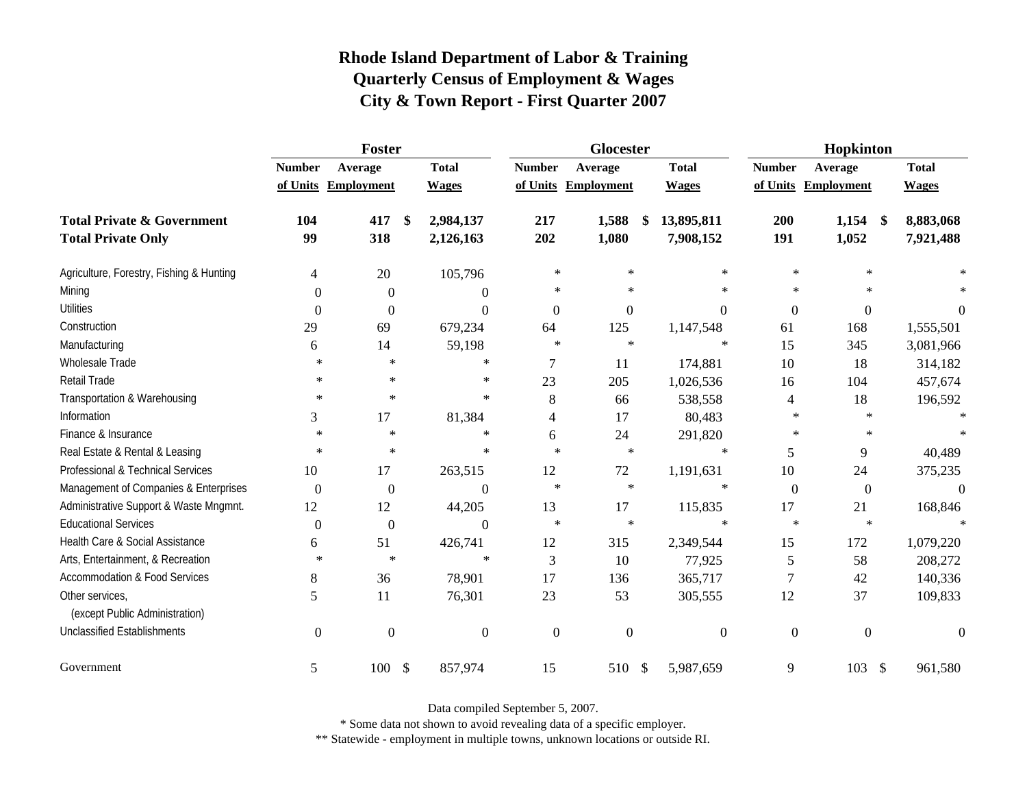|                                                   | Foster           |                     |                 |                | Glocester    |                  | Hopkinton      |                                    |              |  |
|---------------------------------------------------|------------------|---------------------|-----------------|----------------|--------------|------------------|----------------|------------------------------------|--------------|--|
|                                                   | <b>Number</b>    | Average             | <b>Total</b>    | <b>Number</b>  | Average      | <b>Total</b>     | <b>Number</b>  | Average                            | <b>Total</b> |  |
|                                                   |                  | of Units Employment | <b>Wages</b>    | of Units       | Employment   | <b>Wages</b>     |                | of Units Employment                | <b>Wages</b> |  |
| <b>Total Private &amp; Government</b>             | 104              | 417                 | \$<br>2,984,137 | 217            | 1,588        | 13,895,811<br>\$ | 200            | 1,154<br>$\boldsymbol{\mathsf{s}}$ | 8,883,068    |  |
| <b>Total Private Only</b>                         | 99               | 318                 | 2,126,163       | 202            | 1,080        | 7,908,152        | 191            | 1,052                              | 7,921,488    |  |
| Agriculture, Forestry, Fishing & Hunting          | 4                | 20                  | 105,796         | $\ast$         | $\ast$       | $\ast$           | $\star$        | $\star$                            |              |  |
| Mining                                            | $\theta$         | $\theta$            | $\Omega$        | $\ast$         | $\ast$       | $\ast$           | $\ast$         | $\ast$                             |              |  |
| <b>Utilities</b>                                  | $\boldsymbol{0}$ | $\boldsymbol{0}$    | $\Omega$        | $\overline{0}$ | $\mathbf{0}$ | $\Omega$         | $\mathbf{0}$   | $\boldsymbol{0}$                   | $\theta$     |  |
| Construction                                      | 29               | 69                  | 679,234         | 64             | 125          | 1,147,548        | 61             | 168                                | 1,555,501    |  |
| Manufacturing                                     | 6                | 14                  | 59,198          | $\ast$         | $\ast$       | $\ast$           | 15             | 345                                | 3,081,966    |  |
| Wholesale Trade                                   | ∗                | $\ast$              | $\ast$          | 7              | 11           | 174,881          | 10             | 18                                 | 314,182      |  |
| Retail Trade                                      | $\ast$           | $\ast$              | $\ast$          | 23             | 205          | 1,026,536        | 16             | 104                                | 457,674      |  |
| Transportation & Warehousing                      | $\ast$           | $\ast$              | $\ast$          | $\,8\,$        | 66           | 538,558          | $\overline{4}$ | 18                                 | 196,592      |  |
| Information                                       | 3                | 17                  | 81,384          | 4              | 17           | 80,483           | $\ast$         | $\ast$                             |              |  |
| Finance & Insurance                               | $\ast$           | $\ast$              | $\ast$          | 6              | 24           | 291,820          | $\ast$         | $\ast$                             |              |  |
| Real Estate & Rental & Leasing                    | $\ast$           | $\ast$              | $\ast$          | $\star$        | $\ast$       | $\ast$           | 5              | 9                                  | 40,489       |  |
| Professional & Technical Services                 | 10               | 17                  | 263,515         | 12             | $72\,$       | 1,191,631        | 10             | 24                                 | 375,235      |  |
| Management of Companies & Enterprises             | $\boldsymbol{0}$ | $\boldsymbol{0}$    | $\Omega$        | $\ast$         | $\ast$       | $\ast$           | $\overline{0}$ | $\overline{0}$                     | $\Omega$     |  |
| Administrative Support & Waste Mngmnt.            | 12               | 12                  | 44,205          | 13             | 17           | 115,835          | 17             | 21                                 | 168,846      |  |
| <b>Educational Services</b>                       | $\overline{0}$   | $\boldsymbol{0}$    | $\Omega$        | $\ast$         | $\ast$       | $\ast$           | $\ast$         | $\star$                            | $\mathbf{x}$ |  |
| Health Care & Social Assistance                   | 6                | 51                  | 426,741         | 12             | 315          | 2,349,544        | 15             | 172                                | 1,079,220    |  |
| Arts, Entertainment, & Recreation                 | $\ast$           | $\ast$              | $\ast$          | 3              | 10           | 77,925           | 5              | 58                                 | 208,272      |  |
| Accommodation & Food Services                     | 8                | 36                  | 78,901          | 17             | 136          | 365,717          | 7              | 42                                 | 140,336      |  |
| Other services,<br>(except Public Administration) | 5                | 11                  | 76,301          | 23             | 53           | 305,555          | 12             | 37                                 | 109,833      |  |
| <b>Unclassified Establishments</b>                | $\overline{0}$   | $\overline{0}$      | $\theta$        | $\theta$       | $\mathbf{0}$ | $\boldsymbol{0}$ | $\mathbf{0}$   | $\boldsymbol{0}$                   | $\Omega$     |  |
| Government                                        | 5                | $100 - $$           | 857,974         | 15             | 510 \$       | 5,987,659        | 9              | 103<br>$\mathcal{S}$               | 961,580      |  |

Data compiled September 5, 2007.

\* Some data not shown to avoid revealing data of a specific employer.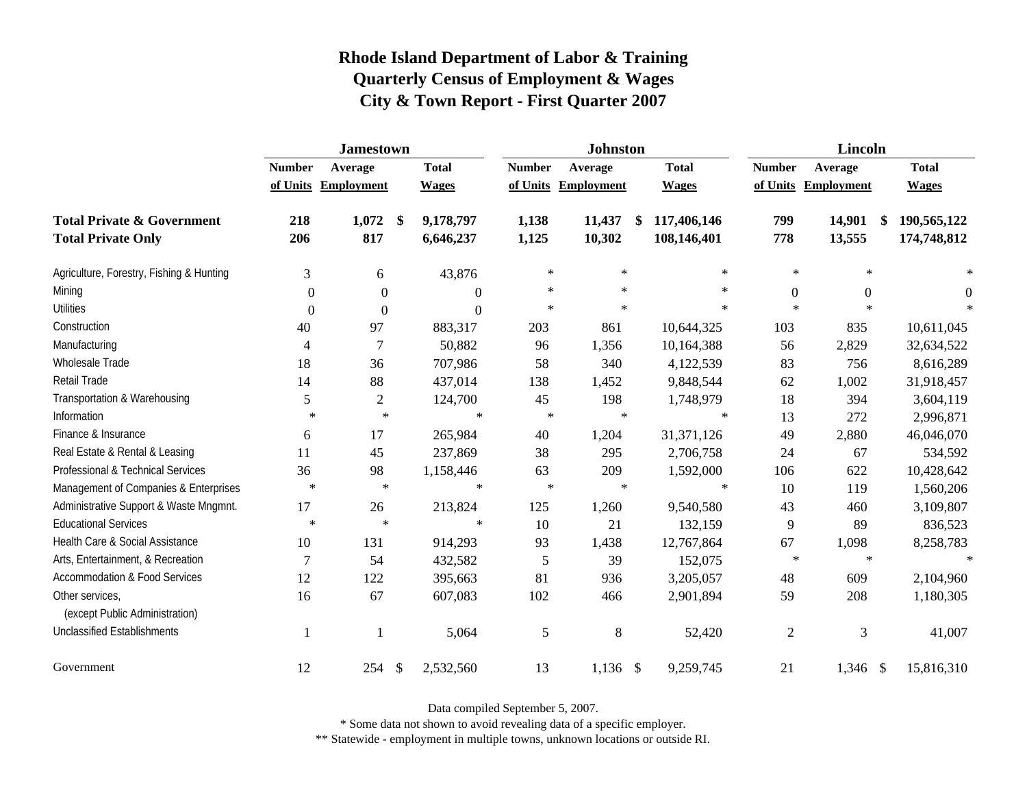|                                                   | <b>Jamestown</b> |                     |                |               | <b>Johnston</b>     |    |              |                | Lincoln          |              |  |  |
|---------------------------------------------------|------------------|---------------------|----------------|---------------|---------------------|----|--------------|----------------|------------------|--------------|--|--|
|                                                   | <b>Number</b>    | Average             | <b>Total</b>   | <b>Number</b> | Average             |    | <b>Total</b> | <b>Number</b>  | Average          | <b>Total</b> |  |  |
|                                                   |                  | of Units Employment | <b>Wages</b>   |               | of Units Employment |    | <b>Wages</b> | of Units       | Employment       | <b>Wages</b> |  |  |
| <b>Total Private &amp; Government</b>             | 218              | 1,072<br>\$         | 9,178,797      | 1,138         | 11,437              | \$ | 117,406,146  | 799            | 14,901<br>\$     | 190,565,122  |  |  |
| <b>Total Private Only</b>                         | 206              | 817                 | 6,646,237      | 1,125         | 10,302              |    | 108,146,401  | 778            | 13,555           | 174,748,812  |  |  |
| Agriculture, Forestry, Fishing & Hunting          | 3                | 6                   | 43,876         | $\ast$        | $\ast$              |    | $\ast$       | $\ast$         | $\ast$           | $\ast$       |  |  |
| Mining                                            | $\Omega$         | $\theta$            | $\overline{0}$ | $\ast$        | $\ast$              |    | $\ast$       | $\mathbf{0}$   | $\boldsymbol{0}$ | $\theta$     |  |  |
| <b>Utilities</b>                                  | $\Omega$         | $\theta$            | $\theta$       | $\ast$        | $\ast$              |    | $\ast$       | $\star$        | $\star$          |              |  |  |
| Construction                                      | 40               | 97                  | 883,317        | 203           | 861                 |    | 10,644,325   | 103            | 835              | 10,611,045   |  |  |
| Manufacturing                                     | 4                | $\tau$              | 50,882         | 96            | 1,356               |    | 10,164,388   | 56             | 2,829            | 32,634,522   |  |  |
| Wholesale Trade                                   | 18               | 36                  | 707,986        | 58            | 340                 |    | 4,122,539    | 83             | 756              | 8,616,289    |  |  |
| <b>Retail Trade</b>                               | 14               | 88                  | 437,014        | 138           | 1,452               |    | 9,848,544    | 62             | 1,002            | 31,918,457   |  |  |
| Transportation & Warehousing                      | 5                | $\overline{c}$      | 124,700        | 45            | 198                 |    | 1,748,979    | 18             | 394              | 3,604,119    |  |  |
| Information                                       | $\ast$           | $\ast$              | $\ast$         | $\ast$        | $\ast$              |    | $\ast$       | 13             | 272              | 2,996,871    |  |  |
| Finance & Insurance                               | 6                | 17                  | 265,984        | 40            | 1,204               |    | 31,371,126   | 49             | 2,880            | 46,046,070   |  |  |
| Real Estate & Rental & Leasing                    | 11               | 45                  | 237,869        | 38            | 295                 |    | 2,706,758    | 24             | 67               | 534,592      |  |  |
| Professional & Technical Services                 | 36               | 98                  | 1,158,446      | 63            | 209                 |    | 1,592,000    | 106            | 622              | 10,428,642   |  |  |
| Management of Companies & Enterprises             | $\ast$           | $\ast$              | $\ast$         | $\ast$        | $\ast$              |    | $\ast$       | 10             | 119              | 1,560,206    |  |  |
| Administrative Support & Waste Mngmnt.            | 17               | 26                  | 213,824        | 125           | 1,260               |    | 9,540,580    | 43             | 460              | 3,109,807    |  |  |
| <b>Educational Services</b>                       | $\ast$           | $\ast$              | $\ast$         | 10            | 21                  |    | 132,159      | 9              | 89               | 836,523      |  |  |
| Health Care & Social Assistance                   | 10               | 131                 | 914,293        | 93            | 1,438               |    | 12,767,864   | 67             | 1,098            | 8,258,783    |  |  |
| Arts, Entertainment, & Recreation                 | $\overline{7}$   | 54                  | 432,582        | 5             | 39                  |    | 152,075      | $\ast$         | $\ast$           | $\ast$       |  |  |
| <b>Accommodation &amp; Food Services</b>          | 12               | 122                 | 395,663        | 81            | 936                 |    | 3,205,057    | 48             | 609              | 2,104,960    |  |  |
| Other services,<br>(except Public Administration) | 16               | 67                  | 607,083        | 102           | 466                 |    | 2,901,894    | 59             | 208              | 1,180,305    |  |  |
| <b>Unclassified Establishments</b>                | $\mathbf{1}$     | 1                   | 5,064          | 5             | 8                   |    | 52,420       | $\mathfrak{2}$ | 3                | 41,007       |  |  |
| Government                                        | 12               | 254<br>-\$          | 2,532,560      | 13            | $1,136$ \$          |    | 9,259,745    | 21             | $1,346$ \$       | 15,816,310   |  |  |

Data compiled September 5, 2007.

\* Some data not shown to avoid revealing data of a specific employer.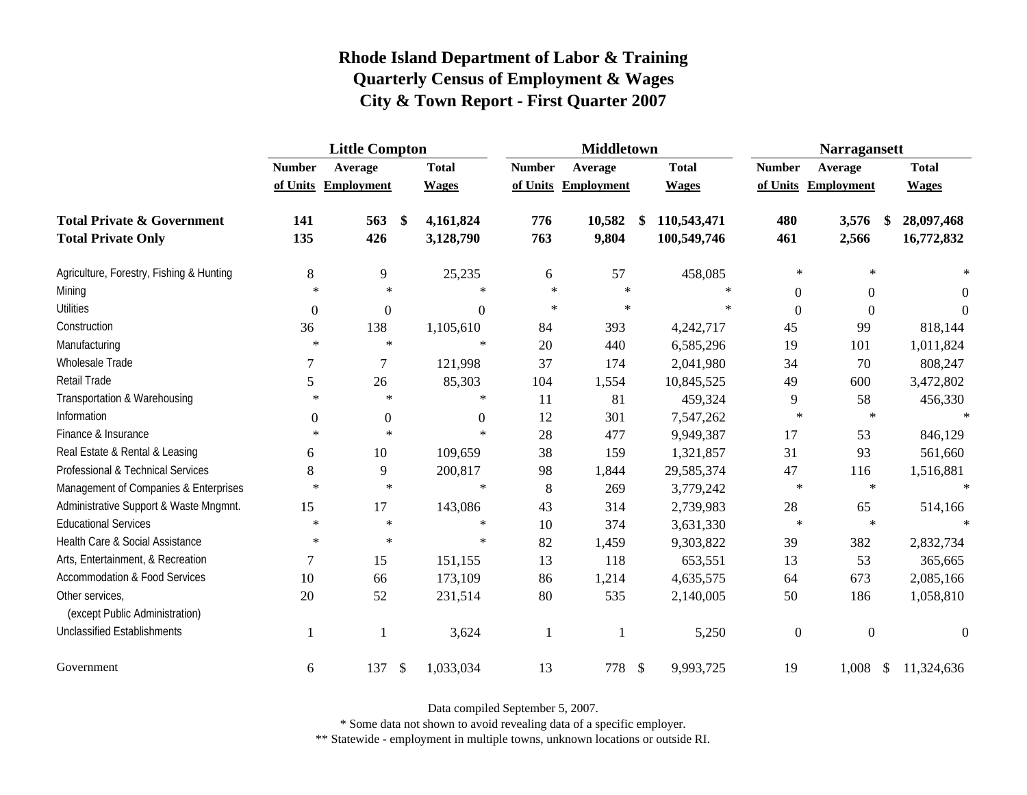|                                                   | <b>Little Compton</b> |                     |                           |                  | <b>Middletown</b> |                     |               |              | <b>Narragansett</b> |                        |                  |           |
|---------------------------------------------------|-----------------------|---------------------|---------------------------|------------------|-------------------|---------------------|---------------|--------------|---------------------|------------------------|------------------|-----------|
|                                                   | <b>Number</b>         | Average             |                           | <b>Total</b>     | <b>Number</b>     | Average             |               | <b>Total</b> | <b>Number</b>       | Average                | <b>Total</b>     |           |
|                                                   |                       | of Units Employment |                           | <b>Wages</b>     |                   | of Units Employment |               | <b>Wages</b> |                     | of Units Employment    | <b>Wages</b>     |           |
| <b>Total Private &amp; Government</b>             | 141                   | 563                 | $\mathbf{\$}$             | 4,161,824        | 776               | 10,582              |               | 110,543,471  | 480                 | 3,576                  | 28,097,468<br>-S |           |
| <b>Total Private Only</b>                         | 135                   | 426                 |                           | 3,128,790        | 763               | 9,804               |               | 100,549,746  | 461                 | 2,566                  | 16,772,832       |           |
| Agriculture, Forestry, Fishing & Hunting          | 8                     | 9                   |                           | 25,235           | 6                 | 57                  |               | 458,085      | $\ast$              | $\ast$                 |                  |           |
| Mining                                            | $\ast$                | $\ast$              |                           | $\ast$           | $\ast$            | $\ast$              |               | $\ast$       | $\overline{0}$      | $\mathbf{0}$           |                  | 0         |
| <b>Utilities</b>                                  | $\overline{0}$        | $\mathbf{0}$        |                           | $\boldsymbol{0}$ | $\ast$            | $\ast$              |               | $\ast$       | $\overline{0}$      | $\boldsymbol{0}$       |                  | $\Omega$  |
| Construction                                      | 36                    | 138                 |                           | 1,105,610        | 84                | 393                 |               | 4,242,717    | 45                  | 99                     |                  | 818,144   |
| Manufacturing                                     | $\ast$                | $\ast$              |                           | $\ast$           | 20                | 440                 |               | 6,585,296    | 19                  | 101                    |                  | 1,011,824 |
| Wholesale Trade                                   |                       | 7                   |                           | 121,998          | 37                | 174                 |               | 2,041,980    | 34                  | 70                     |                  | 808,247   |
| Retail Trade                                      | 5                     | 26                  |                           | 85,303           | 104               | 1,554               |               | 10,845,525   | 49                  | 600                    |                  | 3,472,802 |
| Transportation & Warehousing                      | $\ast$                | $\ast$              |                           | $\ast$           | 11                | 81                  |               | 459,324      | 9                   | 58                     |                  | 456,330   |
| Information                                       | $\mathbf{0}$          | $\boldsymbol{0}$    |                           | $\overline{0}$   | 12                | 301                 |               | 7,547,262    | $\ast$              | $\ast$                 |                  | $\star$   |
| Finance & Insurance                               | $\ast$                | $\ast$              |                           | $\ast$           | 28                | 477                 |               | 9,949,387    | 17                  | 53                     |                  | 846,129   |
| Real Estate & Rental & Leasing                    | 6                     | 10                  |                           | 109,659          | 38                | 159                 |               | 1,321,857    | 31                  | 93                     |                  | 561,660   |
| Professional & Technical Services                 | 8                     | 9                   |                           | 200,817          | 98                | 1,844               |               | 29,585,374   | 47                  | 116                    |                  | 1,516,881 |
| Management of Companies & Enterprises             | $\ast$                | $\ast$              |                           | $\ast$           | 8                 | 269                 |               | 3,779,242    | $\ast$              | $\ast$                 |                  | $\ast$    |
| Administrative Support & Waste Mngmnt.            | 15                    | 17                  |                           | 143,086          | 43                | 314                 |               | 2,739,983    | $28\,$              | 65                     |                  | 514,166   |
| <b>Educational Services</b>                       | $\ast$                | $\ast$              |                           | $\ast$           | 10                | 374                 |               | 3,631,330    | $\ast$              | $\star$                |                  | $\star$   |
| Health Care & Social Assistance                   | $\ast$                | $\ast$              |                           | $\ast$           | 82                | 1,459               |               | 9,303,822    | 39                  | 382                    |                  | 2,832,734 |
| Arts, Entertainment, & Recreation                 | 7                     | 15                  |                           | 151,155          | 13                | 118                 |               | 653,551      | 13                  | 53                     |                  | 365,665   |
| <b>Accommodation &amp; Food Services</b>          | 10                    | 66                  |                           | 173,109          | 86                | 1,214               |               | 4,635,575    | 64                  | 673                    |                  | 2,085,166 |
| Other services,<br>(except Public Administration) | 20                    | 52                  |                           | 231,514          | 80                | 535                 |               | 2,140,005    | 50                  | 186                    |                  | 1,058,810 |
| <b>Unclassified Establishments</b>                | 1                     |                     |                           | 3,624            | $\mathbf{1}$      |                     |               | 5,250        | $\boldsymbol{0}$    | $\boldsymbol{0}$       |                  | $\Omega$  |
| Government                                        | 6                     | 137                 | $\boldsymbol{\mathsf{S}}$ | 1,033,034        | 13                | 778                 | $\mathcal{S}$ | 9,993,725    | 19                  | 1,008<br>$\mathcal{S}$ | 11,324,636       |           |

Data compiled September 5, 2007.

\* Some data not shown to avoid revealing data of a specific employer.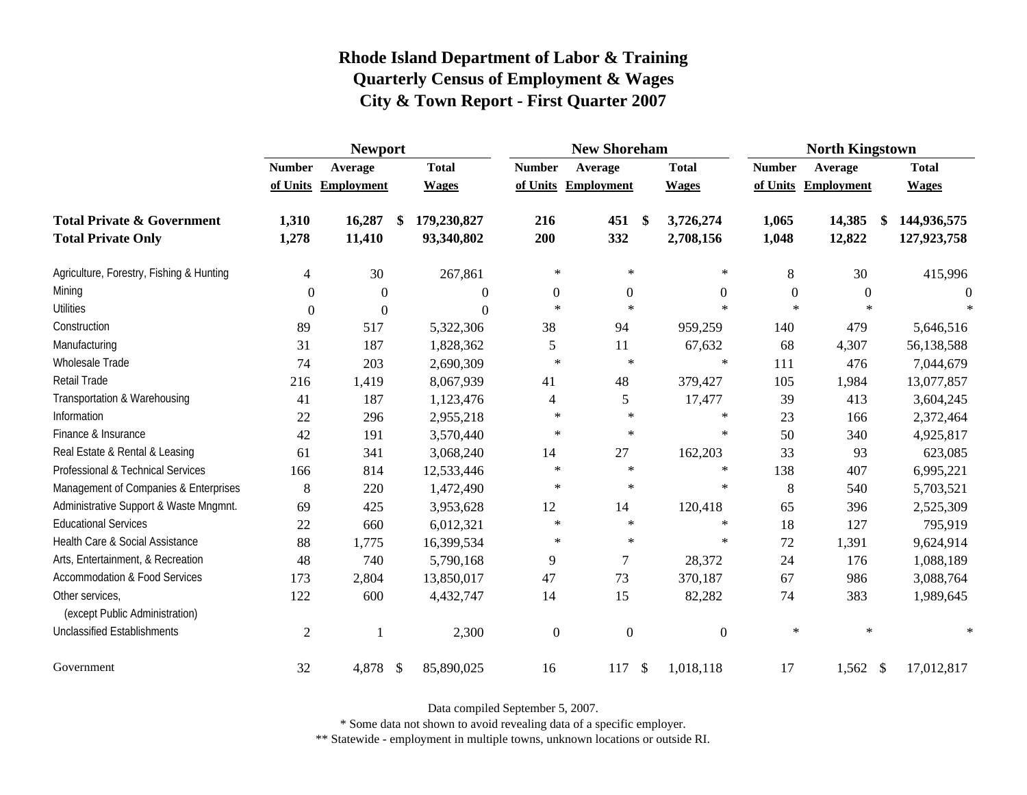|                                                   | <b>Newport</b> |                     |    |              | <b>New Shoreham</b> |                     |               |                  | <b>North Kingstown</b> |                     |    |              |
|---------------------------------------------------|----------------|---------------------|----|--------------|---------------------|---------------------|---------------|------------------|------------------------|---------------------|----|--------------|
|                                                   | <b>Number</b>  | Average             |    | <b>Total</b> | <b>Number</b>       | Average             |               | <b>Total</b>     | <b>Number</b>          | Average             |    | <b>Total</b> |
|                                                   |                | of Units Employment |    | <b>Wages</b> |                     | of Units Employment |               | <b>Wages</b>     |                        | of Units Employment |    | <b>Wages</b> |
| <b>Total Private &amp; Government</b>             | 1,310          | 16,287              | \$ | 179,230,827  | 216                 | 451                 | $\mathbf{\$}$ | 3,726,274        | 1,065                  | 14,385              | \$ | 144,936,575  |
| <b>Total Private Only</b>                         | 1,278          | 11,410              |    | 93,340,802   | 200                 | 332                 |               | 2,708,156        | 1,048                  | 12,822              |    | 127,923,758  |
| Agriculture, Forestry, Fishing & Hunting          | 4              | 30                  |    | 267,861      | $\ast$              | $\ast$              |               | $\ast$           | 8                      | 30                  |    | 415,996      |
| Mining                                            | $\Omega$       | $\overline{0}$      |    | $\theta$     | $\boldsymbol{0}$    | $\overline{0}$      |               | $\boldsymbol{0}$ | $\boldsymbol{0}$       | $\theta$            |    | $\theta$     |
| <b>Utilities</b>                                  | $\Omega$       | $\theta$            |    | $\theta$     | $\star$             | $\ast$              |               | $\ast$           | $\star$                | $\ast$              |    | $\ast$       |
| Construction                                      | 89             | 517                 |    | 5,322,306    | 38                  | 94                  |               | 959,259          | 140                    | 479                 |    | 5,646,516    |
| Manufacturing                                     | 31             | 187                 |    | 1,828,362    | 5                   | 11                  |               | 67,632           | 68                     | 4,307               |    | 56,138,588   |
| Wholesale Trade                                   | 74             | 203                 |    | 2,690,309    | $\ast$              | $\ast$              |               | $\ast$           | 111                    | 476                 |    | 7,044,679    |
| <b>Retail Trade</b>                               | 216            | 1,419               |    | 8,067,939    | 41                  | 48                  |               | 379,427          | 105                    | 1,984               |    | 13,077,857   |
| Transportation & Warehousing                      | 41             | 187                 |    | 1,123,476    | 4                   | 5                   |               | 17,477           | 39                     | 413                 |    | 3,604,245    |
| Information                                       | 22             | 296                 |    | 2,955,218    | $\ast$              | $\ast$              |               | $\ast$           | 23                     | 166                 |    | 2,372,464    |
| Finance & Insurance                               | 42             | 191                 |    | 3,570,440    | $\star$             | $\ast$              |               | $\ast$           | 50                     | 340                 |    | 4,925,817    |
| Real Estate & Rental & Leasing                    | 61             | 341                 |    | 3,068,240    | 14                  | 27                  |               | 162,203          | 33                     | 93                  |    | 623,085      |
| Professional & Technical Services                 | 166            | 814                 |    | 12,533,446   | $\ast$              | $\ast$              |               | $\ast$           | 138                    | 407                 |    | 6,995,221    |
| Management of Companies & Enterprises             | 8              | 220                 |    | 1,472,490    | $\ast$              | $\ast$              |               | $\ast$           | 8                      | 540                 |    | 5,703,521    |
| Administrative Support & Waste Mngmnt.            | 69             | 425                 |    | 3,953,628    | 12                  | 14                  |               | 120,418          | 65                     | 396                 |    | 2,525,309    |
| <b>Educational Services</b>                       | 22             | 660                 |    | 6,012,321    | $\ast$              | $\ast$              |               | $\ast$           | 18                     | 127                 |    | 795,919      |
| Health Care & Social Assistance                   | 88             | 1,775               |    | 16,399,534   | $\ast$              | $\ast$              |               | $\ast$           | 72                     | 1,391               |    | 9,624,914    |
| Arts, Entertainment, & Recreation                 | 48             | 740                 |    | 5,790,168    | 9                   | 7                   |               | 28,372           | 24                     | 176                 |    | 1,088,189    |
| <b>Accommodation &amp; Food Services</b>          | 173            | 2,804               |    | 13,850,017   | 47                  | 73                  |               | 370,187          | 67                     | 986                 |    | 3,088,764    |
| Other services,<br>(except Public Administration) | 122            | 600                 |    | 4,432,747    | 14                  | 15                  |               | 82,282           | 74                     | 383                 |    | 1,989,645    |
| <b>Unclassified Establishments</b>                | $\overline{2}$ | 1                   |    | 2,300        | $\mathbf{0}$        | $\mathbf{0}$        |               | $\mathbf{0}$     | $\ast$                 | $\ast$              |    | $\ast$       |
| Government                                        | 32             | 4,878 \$            |    | 85,890,025   | 16                  | 117                 | $\sqrt{3}$    | 1,018,118        | 17                     | 1,562 \$            |    | 17,012,817   |

Data compiled September 5, 2007.

\* Some data not shown to avoid revealing data of a specific employer.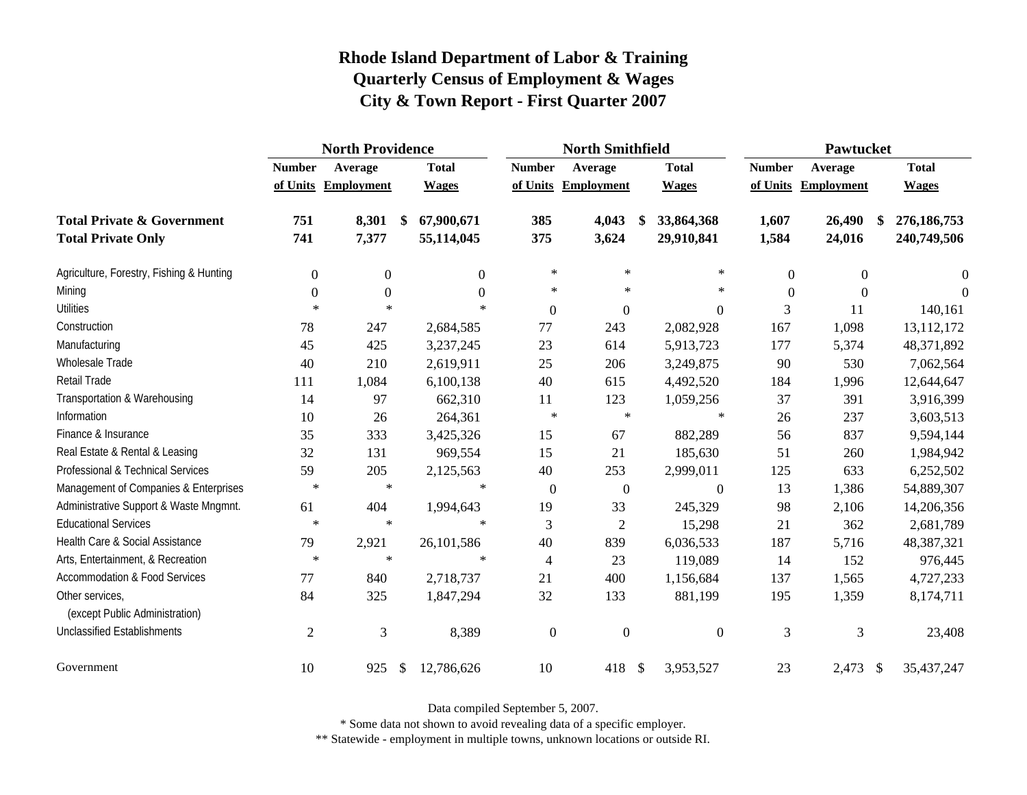|                                                   | <b>North Providence</b> |                     |                  |                            | <b>North Smithfield</b> |    |                  |                | Pawtucket              |                   |  |  |
|---------------------------------------------------|-------------------------|---------------------|------------------|----------------------------|-------------------------|----|------------------|----------------|------------------------|-------------------|--|--|
|                                                   | <b>Number</b>           | Average             | <b>Total</b>     | <b>Number</b>              | Average                 |    | <b>Total</b>     | <b>Number</b>  | Average                | <b>Total</b>      |  |  |
|                                                   |                         | of Units Employment | <b>Wages</b>     |                            | of Units Employment     |    | <b>Wages</b>     |                | of Units Employment    | <b>Wages</b>      |  |  |
| <b>Total Private &amp; Government</b>             | 751                     | 8,301               | 67,900,671<br>\$ | 385                        | 4,043                   |    | 33,864,368       | 1,607          | 26,490                 | 276,186,753<br>\$ |  |  |
| <b>Total Private Only</b>                         | 741                     | 7,377               | 55,114,045       | 375                        | 3,624                   |    | 29,910,841       | 1,584          | 24,016                 | 240,749,506       |  |  |
| Agriculture, Forestry, Fishing & Hunting          | $\boldsymbol{0}$        | $\overline{0}$      |                  | $\ast$<br>$\theta$         | $\ast$                  |    | $\ast$           | $\overline{0}$ | $\Omega$               | $\theta$          |  |  |
| Mining                                            | $\boldsymbol{0}$        | $\boldsymbol{0}$    |                  | $\ast$<br>$\Omega$         | $\ast$                  |    | $\ast$           | $\theta$       | $\Omega$               | $\Omega$          |  |  |
| <b>Utilities</b>                                  | $\ast$                  | $\ast$              |                  | $\ast$<br>$\boldsymbol{0}$ | $\mathbf{0}$            |    | $\boldsymbol{0}$ | 3              | 11                     | 140,161           |  |  |
| Construction                                      | 78                      | 247                 | 2,684,585        | 77                         | 243                     |    | 2,082,928        | 167            | 1,098                  | 13,112,172        |  |  |
| Manufacturing                                     | 45                      | 425                 | 3,237,245        | 23                         | 614                     |    | 5,913,723        | 177            | 5,374                  | 48,371,892        |  |  |
| Wholesale Trade                                   | 40                      | 210                 | 2,619,911        | 25                         | 206                     |    | 3,249,875        | 90             | 530                    | 7,062,564         |  |  |
| Retail Trade                                      | 111                     | 1,084               | 6,100,138        | 40                         | 615                     |    | 4,492,520        | 184            | 1,996                  | 12,644,647        |  |  |
| Transportation & Warehousing                      | 14                      | 97                  | 662,310          | 11                         | 123                     |    | 1,059,256        | 37             | 391                    | 3,916,399         |  |  |
| Information                                       | 10                      | 26                  | 264,361          | $\ast$                     | $\ast$                  |    | $\ast$           | 26             | 237                    | 3,603,513         |  |  |
| Finance & Insurance                               | 35                      | 333                 | 3,425,326        | 15                         | 67                      |    | 882,289          | 56             | 837                    | 9,594,144         |  |  |
| Real Estate & Rental & Leasing                    | 32                      | 131                 | 969,554          | 15                         | 21                      |    | 185,630          | 51             | 260                    | 1,984,942         |  |  |
| Professional & Technical Services                 | 59                      | 205                 | 2,125,563        | 40                         | 253                     |    | 2,999,011        | 125            | 633                    | 6,252,502         |  |  |
| Management of Companies & Enterprises             | $\ast$                  | $\ast$              |                  | $\ast$<br>$\boldsymbol{0}$ | $\boldsymbol{0}$        |    | $\boldsymbol{0}$ | 13             | 1,386                  | 54,889,307        |  |  |
| Administrative Support & Waste Mngmnt.            | 61                      | 404                 | 1,994,643        | 19                         | 33                      |    | 245,329          | 98             | 2,106                  | 14,206,356        |  |  |
| <b>Educational Services</b>                       | $\ast$                  | $\ast$              |                  | 3<br>$\ast$                | $\overline{2}$          |    | 15,298           | 21             | 362                    | 2,681,789         |  |  |
| Health Care & Social Assistance                   | 79                      | 2,921               | 26,101,586       | 40                         | 839                     |    | 6,036,533        | 187            | 5,716                  | 48,387,321        |  |  |
| Arts, Entertainment, & Recreation                 | $\ast$                  | $\ast$              |                  | $\ast$<br>$\overline{4}$   | 23                      |    | 119,089          | 14             | 152                    | 976,445           |  |  |
| <b>Accommodation &amp; Food Services</b>          | 77                      | 840                 | 2,718,737        | 21                         | 400                     |    | 1,156,684        | 137            | 1,565                  | 4,727,233         |  |  |
| Other services,<br>(except Public Administration) | 84                      | 325                 | 1,847,294        | 32                         | 133                     |    | 881,199          | 195            | 1,359                  | 8,174,711         |  |  |
| <b>Unclassified Establishments</b>                | $\overline{2}$          | 3                   | 8,389            | $\boldsymbol{0}$           | $\overline{0}$          |    | $\overline{0}$   | 3              | 3                      | 23,408            |  |  |
| Government                                        | 10                      | 925                 | 12,786,626<br>\$ | 10                         | 418                     | \$ | 3,953,527        | 23             | 2,473<br>$\mathcal{S}$ | 35,437,247        |  |  |

Data compiled September 5, 2007.

\* Some data not shown to avoid revealing data of a specific employer.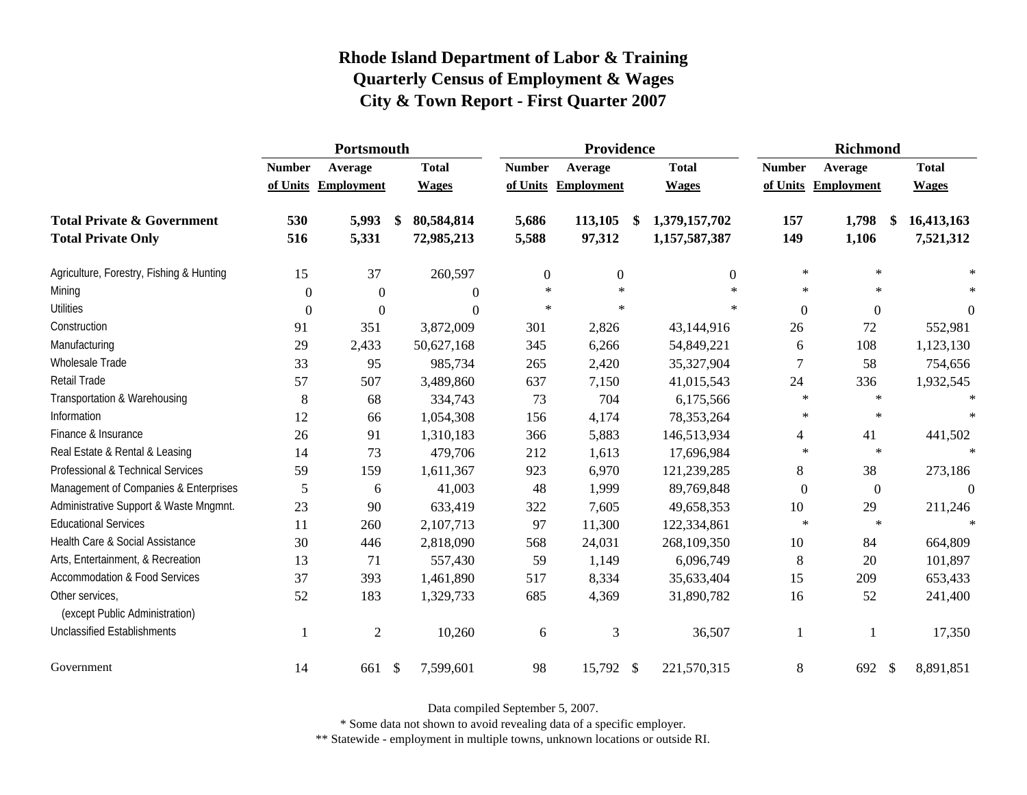|                                                   | Portsmouth       |                     |            |                | Providence       |              |    |               | <b>Richmond</b> |                     |  |                  |
|---------------------------------------------------|------------------|---------------------|------------|----------------|------------------|--------------|----|---------------|-----------------|---------------------|--|------------------|
|                                                   | <b>Number</b>    | Average             |            | <b>Total</b>   | <b>Number</b>    | Average      |    | <b>Total</b>  | <b>Number</b>   | Average             |  | <b>Total</b>     |
|                                                   |                  | of Units Employment |            | <b>Wages</b>   | of Units         | Employment   |    | <b>Wages</b>  |                 | of Units Employment |  | <b>Wages</b>     |
| <b>Total Private &amp; Government</b>             | 530              | 5,993               | \$         | 80,584,814     | 5,686            | 113,105      | \$ | 1,379,157,702 | 157             | 1,798               |  | 16,413,163       |
| <b>Total Private Only</b>                         | 516              | 5,331               |            | 72,985,213     | 5,588            | 97,312       |    | 1,157,587,387 | 149             | 1,106               |  | 7,521,312        |
| Agriculture, Forestry, Fishing & Hunting          | 15               | 37                  |            | 260,597        | $\boldsymbol{0}$ | $\mathbf{0}$ |    | 0             | $\ast$          | $\ast$              |  | $\ast$           |
| Mining                                            | $\mathbf{0}$     | $\theta$            |            | $\overline{0}$ | $\ast$           | $\ast$       |    | $\ast$        | $\ast$          | $\ast$              |  |                  |
| <b>Utilities</b>                                  | $\boldsymbol{0}$ | $\theta$            |            | $\theta$       | $\ast$           | $\ast$       |    | $\ast$        | $\theta$        | $\Omega$            |  | $\boldsymbol{0}$ |
| Construction                                      | 91               | 351                 |            | 3,872,009      | 301              | 2,826        |    | 43,144,916    | 26              | 72                  |  | 552,981          |
| Manufacturing                                     | 29               | 2,433               |            | 50,627,168     | 345              | 6,266        |    | 54,849,221    | 6               | 108                 |  | 1,123,130        |
| Wholesale Trade                                   | 33               | 95                  |            | 985,734        | 265              | 2,420        |    | 35,327,904    | 7               | 58                  |  | 754,656          |
| Retail Trade                                      | 57               | 507                 |            | 3,489,860      | 637              | 7,150        |    | 41,015,543    | 24              | 336                 |  | 1,932,545        |
| Transportation & Warehousing                      | 8                | 68                  |            | 334,743        | 73               | 704          |    | 6,175,566     | $\ast$          | $\star$             |  | $\star$          |
| Information                                       | 12               | 66                  |            | 1,054,308      | 156              | 4,174        |    | 78,353,264    | $\ast$          | $\ast$              |  |                  |
| Finance & Insurance                               | 26               | 91                  |            | 1,310,183      | 366              | 5,883        |    | 146,513,934   | 4               | 41                  |  | 441,502          |
| Real Estate & Rental & Leasing                    | 14               | 73                  |            | 479,706        | 212              | 1,613        |    | 17,696,984    | $\ast$          | $\star$             |  |                  |
| Professional & Technical Services                 | 59               | 159                 |            | 1,611,367      | 923              | 6,970        |    | 121,239,285   | $8\,$           | 38                  |  | 273,186          |
| Management of Companies & Enterprises             | 5                | 6                   |            | 41,003         | 48               | 1,999        |    | 89,769,848    | $\Omega$        | $\boldsymbol{0}$    |  | $\Omega$         |
| Administrative Support & Waste Mngmnt.            | 23               | 90                  |            | 633,419        | 322              | 7,605        |    | 49,658,353    | 10              | 29                  |  | 211,246          |
| <b>Educational Services</b>                       | 11               | 260                 |            | 2,107,713      | 97               | 11,300       |    | 122,334,861   | $\ast$          | $\ast$              |  |                  |
| Health Care & Social Assistance                   | 30               | 446                 |            | 2,818,090      | 568              | 24,031       |    | 268,109,350   | 10              | 84                  |  | 664,809          |
| Arts, Entertainment, & Recreation                 | 13               | 71                  |            | 557,430        | 59               | 1,149        |    | 6,096,749     | 8               | 20                  |  | 101,897          |
| <b>Accommodation &amp; Food Services</b>          | 37               | 393                 |            | 1,461,890      | 517              | 8,334        |    | 35,633,404    | 15              | 209                 |  | 653,433          |
| Other services,<br>(except Public Administration) | 52               | 183                 |            | 1,329,733      | 685              | 4,369        |    | 31,890,782    | 16              | 52                  |  | 241,400          |
| <b>Unclassified Establishments</b>                | 1                | $\mathfrak{2}$      |            | 10,260         | 6                | 3            |    | 36,507        | 1               | 1                   |  | 17,350           |
| Government                                        | 14               | 661                 | $\sqrt{3}$ | 7,599,601      | 98               | 15,792 \$    |    | 221,570,315   | $8\,$           | 692 \$              |  | 8,891,851        |

Data compiled September 5, 2007.

\* Some data not shown to avoid revealing data of a specific employer.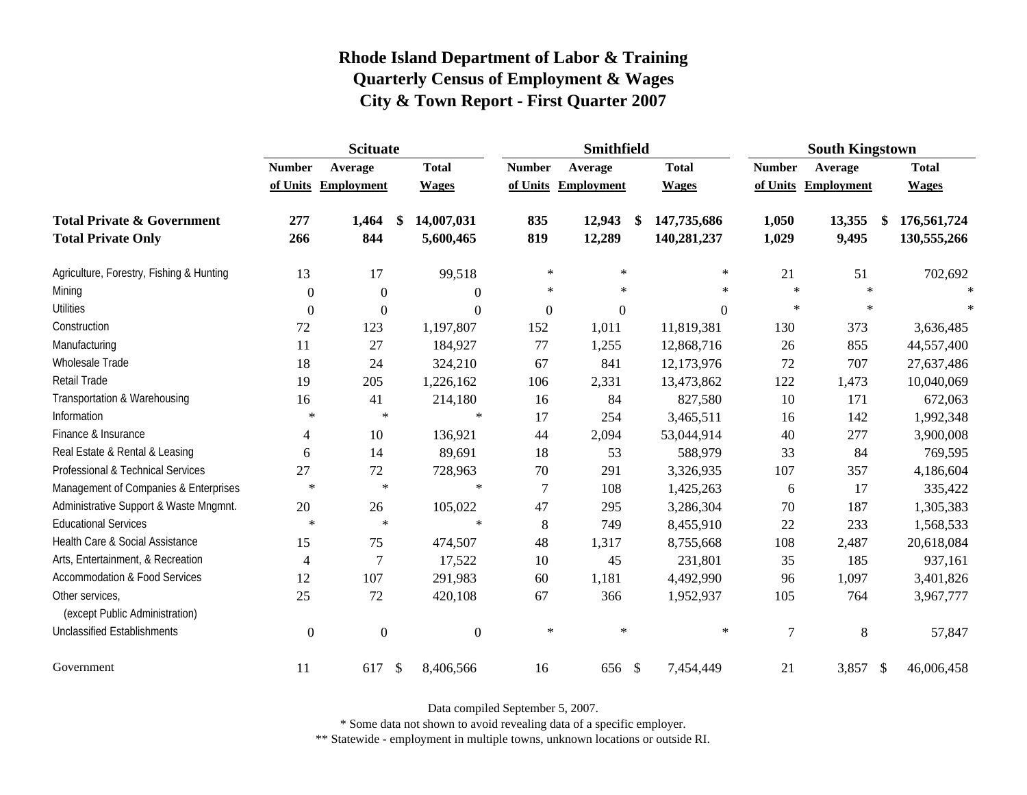|                                                   | <b>Scituate</b> |                     |                         |                  | Smithfield          |            |              |                | <b>South Kingstown</b>             |              |  |  |
|---------------------------------------------------|-----------------|---------------------|-------------------------|------------------|---------------------|------------|--------------|----------------|------------------------------------|--------------|--|--|
|                                                   | <b>Number</b>   | Average             | <b>Total</b>            | <b>Number</b>    | Average             |            | <b>Total</b> | <b>Number</b>  | Average                            | <b>Total</b> |  |  |
|                                                   |                 | of Units Employment | <b>Wages</b>            |                  | of Units Employment |            | <b>Wages</b> | of Units       | Employment                         | <b>Wages</b> |  |  |
| <b>Total Private &amp; Government</b>             | 277             | 1,464               | 14,007,031<br>\$        | 835              | 12,943              | \$         | 147,735,686  | 1,050          | 13,355<br>\$                       | 176,561,724  |  |  |
| <b>Total Private Only</b>                         | 266             | 844                 | 5,600,465               | 819              | 12,289              |            | 140,281,237  | 1,029          | 9,495                              | 130,555,266  |  |  |
| Agriculture, Forestry, Fishing & Hunting          | 13              | 17                  | 99,518                  | $\ast$           | $\ast$              |            | $\ast$       | 21             | 51                                 | 702,692      |  |  |
| Mining                                            | $\Omega$        | $\overline{0}$      | $\theta$                | $\ast$           | $\ast$              |            | $\ast$       | $\ast$         | $\ast$                             |              |  |  |
| <b>Utilities</b>                                  | $\Omega$        | $\boldsymbol{0}$    | $\theta$                | $\boldsymbol{0}$ | $\boldsymbol{0}$    |            | $\Omega$     | $\ast$         | $\ast$                             |              |  |  |
| Construction                                      | $72\,$          | 123                 | 1,197,807               | 152              | 1,011               |            | 11,819,381   | 130            | 373                                | 3,636,485    |  |  |
| Manufacturing                                     | 11              | 27                  | 184,927                 | 77               | 1,255               |            | 12,868,716   | 26             | 855                                | 44,557,400   |  |  |
| <b>Wholesale Trade</b>                            | 18              | 24                  | 324,210                 | 67               | 841                 |            | 12,173,976   | 72             | 707                                | 27,637,486   |  |  |
| Retail Trade                                      | 19              | 205                 | 1,226,162               | 106              | 2,331               |            | 13,473,862   | 122            | 1,473                              | 10,040,069   |  |  |
| Transportation & Warehousing                      | 16              | 41                  | 214,180                 | 16               | 84                  |            | 827,580      | 10             | 171                                | 672,063      |  |  |
| Information                                       | $\ast$          | $\ast$              | ∗                       | 17               | 254                 |            | 3,465,511    | 16             | 142                                | 1,992,348    |  |  |
| Finance & Insurance                               | 4               | 10                  | 136,921                 | 44               | 2,094               |            | 53,044,914   | 40             | 277                                | 3,900,008    |  |  |
| Real Estate & Rental & Leasing                    | 6               | 14                  | 89,691                  | 18               | 53                  |            | 588,979      | 33             | 84                                 | 769,595      |  |  |
| Professional & Technical Services                 | 27              | 72                  | 728,963                 | $70\,$           | 291                 |            | 3,326,935    | 107            | 357                                | 4,186,604    |  |  |
| Management of Companies & Enterprises             | $\ast$          | $\ast$              | $\ast$                  | $\overline{7}$   | 108                 |            | 1,425,263    | 6              | 17                                 | 335,422      |  |  |
| Administrative Support & Waste Mngmnt.            | 20              | 26                  | 105,022                 | 47               | 295                 |            | 3,286,304    | 70             | 187                                | 1,305,383    |  |  |
| <b>Educational Services</b>                       | $\ast$          | $\ast$              | $\ast$                  | $\,8\,$          | 749                 |            | 8,455,910    | 22             | 233                                | 1,568,533    |  |  |
| Health Care & Social Assistance                   | 15              | 75                  | 474,507                 | 48               | 1,317               |            | 8,755,668    | 108            | 2,487                              | 20,618,084   |  |  |
| Arts, Entertainment, & Recreation                 | 4               | 7                   | 17,522                  | 10               | 45                  |            | 231,801      | 35             | 185                                | 937,161      |  |  |
| <b>Accommodation &amp; Food Services</b>          | 12              | 107                 | 291,983                 | 60               | 1,181               |            | 4,492,990    | 96             | 1,097                              | 3,401,826    |  |  |
| Other services,<br>(except Public Administration) | 25              | 72                  | 420,108                 | 67               | 366                 |            | 1,952,937    | 105            | 764                                | 3,967,777    |  |  |
| <b>Unclassified Establishments</b>                | $\Omega$        | $\Omega$            | $\overline{0}$          | $\ast$           | $\ast$              |            | $\ast$       | $\overline{7}$ | 8                                  | 57,847       |  |  |
| Government                                        | 11              | 617                 | $\sqrt{3}$<br>8,406,566 | 16               | 656                 | $\sqrt{3}$ | 7,454,449    | 21             | 3,857<br>$\boldsymbol{\mathsf{S}}$ | 46,006,458   |  |  |

Data compiled September 5, 2007.

\* Some data not shown to avoid revealing data of a specific employer.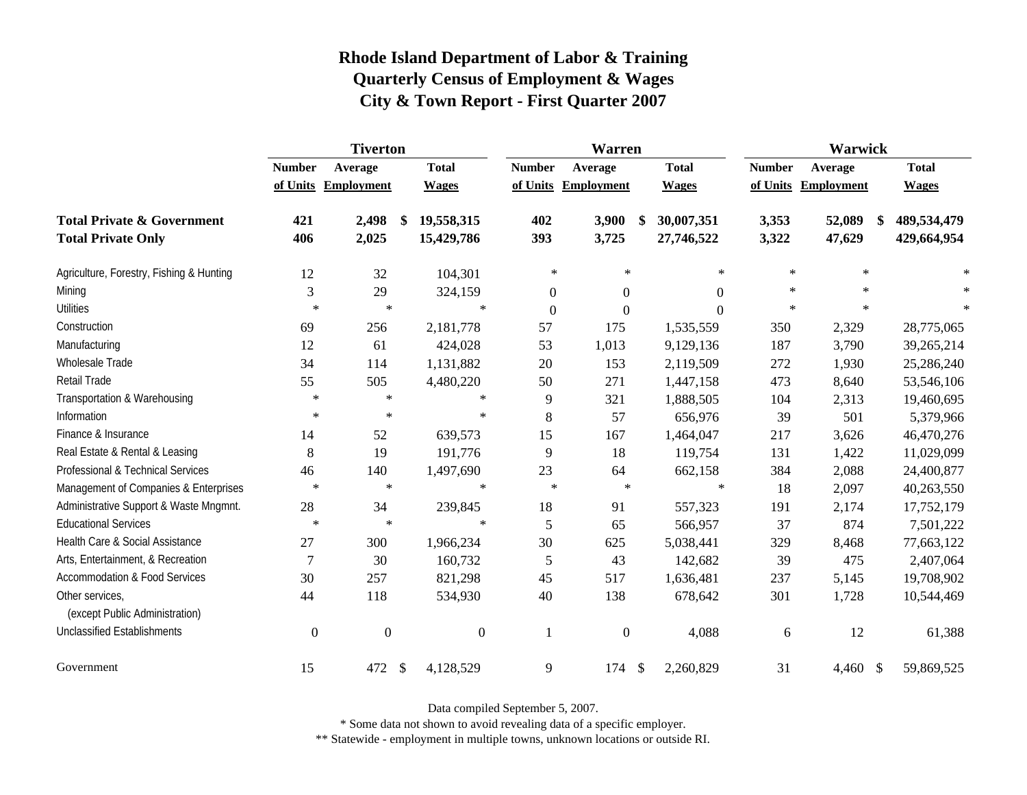|                                                   | <b>Tiverton</b>  |                     |                                        |                | Warren              |                    | <b>Warwick</b> |              |              |  |
|---------------------------------------------------|------------------|---------------------|----------------------------------------|----------------|---------------------|--------------------|----------------|--------------|--------------|--|
|                                                   | <b>Number</b>    | Average             | <b>Total</b>                           | <b>Number</b>  | Average             | <b>Total</b>       | <b>Number</b>  | Average      | <b>Total</b> |  |
|                                                   |                  | of Units Employment | <b>Wages</b>                           |                | of Units Employment | <b>Wages</b>       | of Units       | Employment   | <b>Wages</b> |  |
| <b>Total Private &amp; Government</b>             | 421              | 2,498               | 19,558,315                             | 402            | 3,900               | 30,007,351<br>- \$ | 3,353          | 52,089<br>\$ | 489,534,479  |  |
| <b>Total Private Only</b>                         | 406              | 2,025               | 15,429,786                             | 393            | 3,725               | 27,746,522         | 3,322          | 47,629       | 429,664,954  |  |
| Agriculture, Forestry, Fishing & Hunting          | 12               | 32                  | 104,301                                | $\ast$         | ∗                   | $\ast$             | $\ast$         | $\ast$       |              |  |
| Mining                                            | 3                | 29                  | 324,159                                | $\overline{0}$ | $\overline{0}$      | $\overline{0}$     | $\ast$         | *            | $\ast$       |  |
| <b>Utilities</b>                                  | $\ast$           | $\ast$              | $\ast$                                 | $\overline{0}$ | $\overline{0}$      | $\Omega$           | $\star$        | $\ast$       | $\ast$       |  |
| Construction                                      | 69               | 256                 | 2,181,778                              | 57             | 175                 | 1,535,559          | 350            | 2,329        | 28,775,065   |  |
| Manufacturing                                     | 12               | 61                  | 424,028                                | 53             | 1,013               | 9,129,136          | 187            | 3,790        | 39,265,214   |  |
| Wholesale Trade                                   | 34               | 114                 | 1,131,882                              | 20             | 153                 | 2,119,509          | 272            | 1,930        | 25,286,240   |  |
| Retail Trade                                      | 55               | 505                 | 4,480,220                              | 50             | 271                 | 1,447,158          | 473            | 8,640        | 53,546,106   |  |
| Transportation & Warehousing                      | $\ast$           | $\ast$              | $\ast$                                 | 9              | 321                 | 1,888,505          | 104            | 2,313        | 19,460,695   |  |
| Information                                       | $\ast$           | $\ast$              | $\ast$                                 | 8              | 57                  | 656,976            | 39             | 501          | 5,379,966    |  |
| Finance & Insurance                               | 14               | 52                  | 639,573                                | 15             | 167                 | 1,464,047          | 217            | 3,626        | 46,470,276   |  |
| Real Estate & Rental & Leasing                    | 8                | 19                  | 191,776                                | 9              | 18                  | 119,754            | 131            | 1,422        | 11,029,099   |  |
| Professional & Technical Services                 | 46               | 140                 | 1,497,690                              | 23             | 64                  | 662,158            | 384            | 2,088        | 24,400,877   |  |
| Management of Companies & Enterprises             | $\ast$           | $\ast$              | $\ast$                                 | $\ast$         | $\ast$              | $\ast$             | 18             | 2,097        | 40,263,550   |  |
| Administrative Support & Waste Mngmnt.            | 28               | 34                  | 239,845                                | 18             | 91                  | 557,323            | 191            | 2,174        | 17,752,179   |  |
| <b>Educational Services</b>                       | $\ast$           | $\ast$              | $\ast$                                 | 5              | 65                  | 566,957            | 37             | 874          | 7,501,222    |  |
| Health Care & Social Assistance                   | 27               | 300                 | 1,966,234                              | 30             | 625                 | 5,038,441          | 329            | 8,468        | 77,663,122   |  |
| Arts, Entertainment, & Recreation                 | $\overline{7}$   | 30                  | 160,732                                | 5              | 43                  | 142,682            | 39             | 475          | 2,407,064    |  |
| <b>Accommodation &amp; Food Services</b>          | 30               | 257                 | 821,298                                | 45             | 517                 | 1,636,481          | 237            | 5,145        | 19,708,902   |  |
| Other services,<br>(except Public Administration) | 44               | 118                 | 534,930                                | 40             | 138                 | 678,642            | 301            | 1,728        | 10,544,469   |  |
| <b>Unclassified Establishments</b>                | $\boldsymbol{0}$ | $\mathbf{0}$        | $\mathbf{0}$                           | 1              | $\overline{0}$      | 4,088              | 6              | 12           | 61,388       |  |
| Government                                        | 15               | 472                 | $\boldsymbol{\mathsf{S}}$<br>4,128,529 | 9              | 174                 | \$<br>2,260,829    | 31             | 4,460 \$     | 59,869,525   |  |

Data compiled September 5, 2007.

\* Some data not shown to avoid revealing data of a specific employer.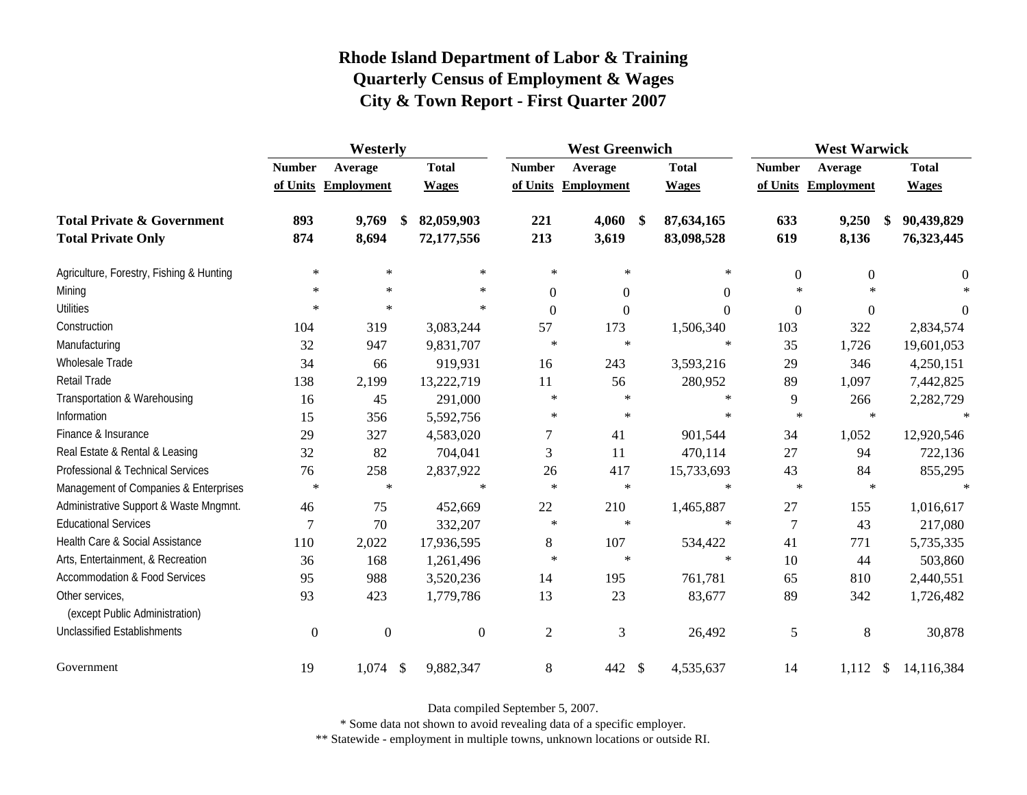|                                                   | Westerly         |                     |              |                  | <b>West Greenwich</b> |                             |                  | <b>West Warwick</b> |                             |  |  |  |
|---------------------------------------------------|------------------|---------------------|--------------|------------------|-----------------------|-----------------------------|------------------|---------------------|-----------------------------|--|--|--|
|                                                   | <b>Number</b>    | Average             | <b>Total</b> | <b>Number</b>    | Average               | <b>Total</b>                | <b>Number</b>    | Average             | <b>Total</b>                |  |  |  |
|                                                   |                  | of Units Employment | <b>Wages</b> |                  | of Units Employment   | <b>Wages</b>                |                  | of Units Employment | <b>Wages</b>                |  |  |  |
| <b>Total Private &amp; Government</b>             | 893              | 9,769               | 82,059,903   | 221              | 4,060                 | 87,634,165<br>$\mathbf{\$}$ | 633              | 9,250               | 90,439,829                  |  |  |  |
| <b>Total Private Only</b>                         | 874              | 8,694               | 72,177,556   | 213              | 3,619                 | 83,098,528                  | 619              | 8,136               | 76,323,445                  |  |  |  |
| Agriculture, Forestry, Fishing & Hunting          | $\ast$           | $\ast$              | $\ast$       | $\star$          | $\ast$                | $\ast$                      | $\overline{0}$   | $\overline{0}$      | 0                           |  |  |  |
| Mining                                            | $\ast$           | $\ast$              | $\ast$       | $\mathbf{0}$     | $\boldsymbol{0}$      | $\Omega$                    | $\ast$           | $\ast$              |                             |  |  |  |
| <b>Utilities</b>                                  | $\ast$           | $\ast$              | $\ast$       | $\boldsymbol{0}$ | $\boldsymbol{0}$      | $\Omega$                    | $\boldsymbol{0}$ | $\theta$            | 0                           |  |  |  |
| Construction                                      | 104              | 319                 | 3,083,244    | 57               | 173                   | 1,506,340                   | 103              | 322                 | 2,834,574                   |  |  |  |
| Manufacturing                                     | 32               | 947                 | 9,831,707    | $\ast$           | $\ast$                | $\ast$                      | 35               | 1,726               | 19,601,053                  |  |  |  |
| Wholesale Trade                                   | 34               | 66                  | 919,931      | 16               | 243                   | 3,593,216                   | 29               | 346                 | 4,250,151                   |  |  |  |
| <b>Retail Trade</b>                               | 138              | 2,199               | 13,222,719   | 11               | 56                    | 280,952                     | 89               | 1,097               | 7,442,825                   |  |  |  |
| Transportation & Warehousing                      | 16               | 45                  | 291,000      | $\ast$           | $\ast$                | $\ast$                      | 9                | 266                 | 2,282,729                   |  |  |  |
| Information                                       | 15               | 356                 | 5,592,756    | $\ast$           | $\ast$                | $\ast$                      | $\ast$           | $\ast$              |                             |  |  |  |
| Finance & Insurance                               | 29               | 327                 | 4,583,020    | $\boldsymbol{7}$ | 41                    | 901,544                     | 34               | 1,052               | 12,920,546                  |  |  |  |
| Real Estate & Rental & Leasing                    | 32               | 82                  | 704,041      | 3                | 11                    | 470,114                     | 27               | 94                  | 722,136                     |  |  |  |
| Professional & Technical Services                 | 76               | 258                 | 2,837,922    | 26               | 417                   | 15,733,693                  | 43               | 84                  | 855,295                     |  |  |  |
| Management of Companies & Enterprises             | $\ast$           | $\ast$              | $\ast$       | $\star$          | $\ast$                | $\ast$                      | $\ast$           | $\ast$              | $\star$                     |  |  |  |
| Administrative Support & Waste Mngmnt.            | 46               | 75                  | 452,669      | 22               | 210                   | 1,465,887                   | 27               | 155                 | 1,016,617                   |  |  |  |
| <b>Educational Services</b>                       | 7                | 70                  | 332,207      | $\ast$           | $\ast$                | $\ast$                      | $\overline{7}$   | 43                  | 217,080                     |  |  |  |
| Health Care & Social Assistance                   | 110              | 2,022               | 17,936,595   | 8                | 107                   | 534,422                     | 41               | 771                 | 5,735,335                   |  |  |  |
| Arts, Entertainment, & Recreation                 | 36               | 168                 | 1,261,496    | $\ast$           | $\ast$                | $\ast$                      | 10               | 44                  | 503,860                     |  |  |  |
| <b>Accommodation &amp; Food Services</b>          | 95               | 988                 | 3,520,236    | 14               | 195                   | 761,781                     | 65               | 810                 | 2,440,551                   |  |  |  |
| Other services,<br>(except Public Administration) | 93               | 423                 | 1,779,786    | 13               | 23                    | 83,677                      | 89               | 342                 | 1,726,482                   |  |  |  |
| <b>Unclassified Establishments</b>                | $\boldsymbol{0}$ | $\boldsymbol{0}$    | $\theta$     | $\mathbf{2}$     | 3                     | 26,492                      | 5                | 8                   | 30,878                      |  |  |  |
| Government                                        | 19               | $1,074$ \$          | 9,882,347    | 8                | 442 \$                | 4,535,637                   | 14               | 1,112               | $\mathcal{S}$<br>14,116,384 |  |  |  |

Data compiled September 5, 2007.

\* Some data not shown to avoid revealing data of a specific employer.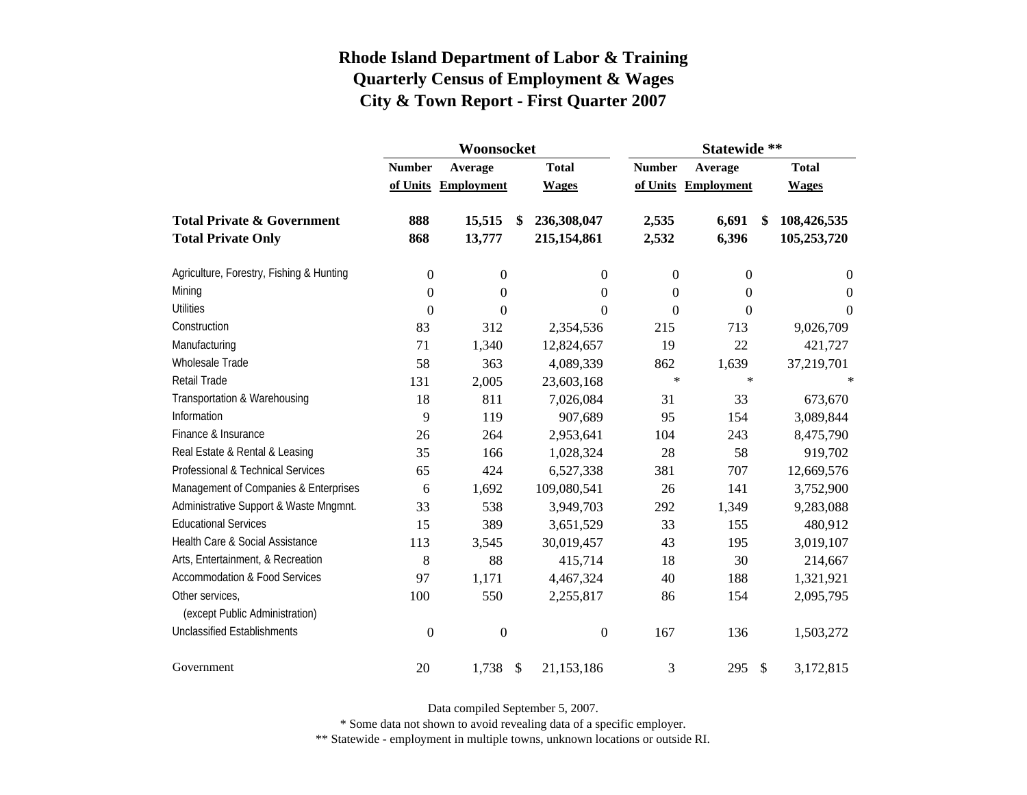|                                          |                           | Woonsocket                   |                           | Statewide **                 |                           |                              |               |                              |  |  |
|------------------------------------------|---------------------------|------------------------------|---------------------------|------------------------------|---------------------------|------------------------------|---------------|------------------------------|--|--|
|                                          | <b>Number</b><br>of Units | Average<br><b>Employment</b> |                           | <b>Total</b><br><b>Wages</b> | <b>Number</b><br>of Units | Average<br><b>Employment</b> |               | <b>Total</b><br><b>Wages</b> |  |  |
|                                          |                           |                              |                           |                              |                           |                              |               |                              |  |  |
| <b>Total Private &amp; Government</b>    | 888                       | 15,515                       |                           | 236,308,047                  | 2,535                     | 6,691<br>S,                  |               | 108,426,535                  |  |  |
| <b>Total Private Only</b>                | 868                       | 13,777                       |                           | 215,154,861                  | 2,532                     | 6,396                        |               | 105,253,720                  |  |  |
| Agriculture, Forestry, Fishing & Hunting | $\boldsymbol{0}$          | $\boldsymbol{0}$             |                           | 0                            | $\mathbf{0}$              | $\boldsymbol{0}$             |               | $\overline{0}$               |  |  |
| Mining                                   | $\boldsymbol{0}$          | $\boldsymbol{0}$             |                           | $\boldsymbol{0}$             | $\theta$                  | 0                            |               | $\overline{0}$               |  |  |
| <b>Utilities</b>                         | $\boldsymbol{0}$          | $\boldsymbol{0}$             |                           | $\boldsymbol{0}$             | $\theta$                  | 0                            |               | $\overline{0}$               |  |  |
| Construction                             | 83                        | 312                          |                           | 2,354,536                    | 215                       | 713                          |               | 9,026,709                    |  |  |
| Manufacturing                            | 71                        | 1,340                        |                           | 12,824,657                   | 19                        | 22                           |               | 421,727                      |  |  |
| <b>Wholesale Trade</b>                   | 58                        | 363                          |                           | 4,089,339                    | 862                       | 1,639                        |               | 37,219,701                   |  |  |
| <b>Retail Trade</b>                      | 131                       | 2,005                        |                           | 23,603,168                   | $\ast$                    | $\ast$                       |               | ∗                            |  |  |
| Transportation & Warehousing             | 18                        | 811                          |                           | 7,026,084                    | 31                        | 33                           |               | 673,670                      |  |  |
| Information                              | 9                         | 119                          |                           | 907,689                      | 95                        | 154                          |               | 3,089,844                    |  |  |
| Finance & Insurance                      | 26                        | 264                          |                           | 2,953,641                    | 104                       | 243                          |               | 8,475,790                    |  |  |
| Real Estate & Rental & Leasing           | 35                        | 166                          |                           | 1,028,324                    | 28                        | 58                           |               | 919,702                      |  |  |
| Professional & Technical Services        | 65                        | 424                          |                           | 6,527,338                    | 381                       | 707                          |               | 12,669,576                   |  |  |
| Management of Companies & Enterprises    | 6                         | 1,692                        |                           | 109,080,541                  | 26                        | 141                          |               | 3,752,900                    |  |  |
| Administrative Support & Waste Mngmnt.   | 33                        | 538                          |                           | 3,949,703                    | 292                       | 1,349                        |               | 9,283,088                    |  |  |
| <b>Educational Services</b>              | 15                        | 389                          |                           | 3,651,529                    | 33                        | 155                          |               | 480,912                      |  |  |
| Health Care & Social Assistance          | 113                       | 3,545                        |                           | 30,019,457                   | 43                        | 195                          |               | 3,019,107                    |  |  |
| Arts, Entertainment, & Recreation        | 8                         | 88                           |                           | 415,714                      | 18                        | 30                           |               | 214,667                      |  |  |
| <b>Accommodation &amp; Food Services</b> | 97                        | 1,171                        |                           | 4,467,324                    | 40                        | 188                          |               | 1,321,921                    |  |  |
| Other services,                          | 100                       | 550                          |                           | 2,255,817                    | 86                        | 154                          |               | 2,095,795                    |  |  |
| (except Public Administration)           |                           |                              |                           |                              |                           |                              |               |                              |  |  |
| <b>Unclassified Establishments</b>       | $\boldsymbol{0}$          | $\boldsymbol{0}$             |                           | $\boldsymbol{0}$             | 167                       | 136                          |               | 1,503,272                    |  |  |
| Government                               | 20                        | 1,738                        | $\boldsymbol{\mathsf{S}}$ | 21,153,186                   | 3                         | 295                          | $\mathcal{S}$ | 3,172,815                    |  |  |

Data compiled September 5, 2007.

\* Some data not shown to avoid revealing data of a specific employer.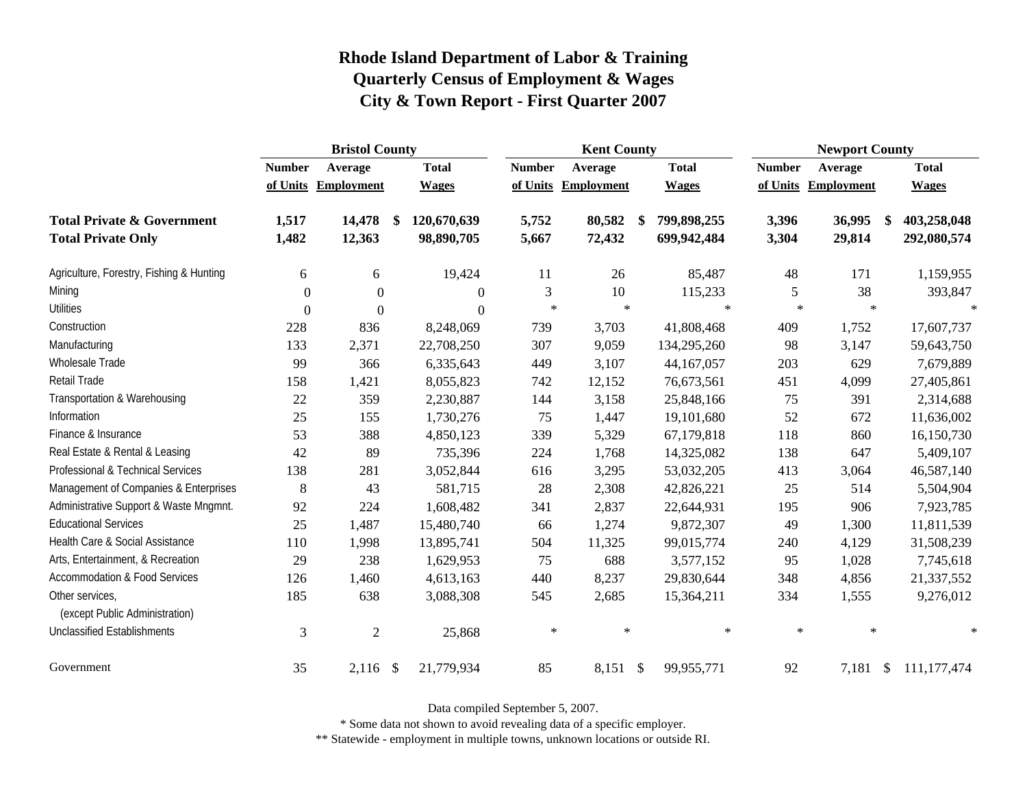|                                                   | <b>Bristol County</b> |                     |    |                  | <b>Kent County</b> |                   | <b>Newport County</b> |              |               |                     |  |               |
|---------------------------------------------------|-----------------------|---------------------|----|------------------|--------------------|-------------------|-----------------------|--------------|---------------|---------------------|--|---------------|
|                                                   | <b>Number</b>         | Average             |    | <b>Total</b>     | <b>Number</b>      | Average           |                       | <b>Total</b> | <b>Number</b> | Average             |  | <b>Total</b>  |
|                                                   |                       | of Units Employment |    | <b>Wages</b>     | of Units           | <b>Employment</b> |                       | <b>Wages</b> |               | of Units Employment |  | <b>Wages</b>  |
| <b>Total Private &amp; Government</b>             | 1,517                 | 14,478              | \$ | 120,670,639      | 5,752              | 80,582            | \$                    | 799,898,255  | 3,396         | 36,995<br>\$.       |  | 403,258,048   |
| <b>Total Private Only</b>                         | 1,482                 | 12,363              |    | 98,890,705       | 5,667              | 72,432            |                       | 699,942,484  | 3,304         | 29,814              |  | 292,080,574   |
| Agriculture, Forestry, Fishing & Hunting          | 6                     | 6                   |    | 19,424           | 11                 | 26                |                       | 85,487       | 48            | 171                 |  | 1,159,955     |
| Mining                                            | $\Omega$              | $\mathbf{0}$        |    | $\overline{0}$   | 3                  | 10                |                       | 115,233      | 5             | 38                  |  | 393,847       |
| <b>Utilities</b>                                  | $\theta$              | $\overline{0}$      |    | $\boldsymbol{0}$ | $\ast$             | $\ast$            |                       | $\ast$       | $\ast$        | $\ast$              |  | $\star$       |
| Construction                                      | 228                   | 836                 |    | 8,248,069        | 739                | 3,703             |                       | 41,808,468   | 409           | 1,752               |  | 17,607,737    |
| Manufacturing                                     | 133                   | 2,371               |    | 22,708,250       | 307                | 9,059             |                       | 134,295,260  | 98            | 3,147               |  | 59,643,750    |
| Wholesale Trade                                   | 99                    | 366                 |    | 6,335,643        | 449                | 3,107             |                       | 44,167,057   | 203           | 629                 |  | 7,679,889     |
| <b>Retail Trade</b>                               | 158                   | 1,421               |    | 8,055,823        | 742                | 12,152            |                       | 76,673,561   | 451           | 4,099               |  | 27,405,861    |
| Transportation & Warehousing                      | 22                    | 359                 |    | 2,230,887        | 144                | 3,158             |                       | 25,848,166   | 75            | 391                 |  | 2,314,688     |
| Information                                       | 25                    | 155                 |    | 1,730,276        | 75                 | 1,447             |                       | 19,101,680   | 52            | 672                 |  | 11,636,002    |
| Finance & Insurance                               | 53                    | 388                 |    | 4,850,123        | 339                | 5,329             |                       | 67,179,818   | 118           | 860                 |  | 16,150,730    |
| Real Estate & Rental & Leasing                    | 42                    | 89                  |    | 735,396          | 224                | 1,768             |                       | 14,325,082   | 138           | 647                 |  | 5,409,107     |
| Professional & Technical Services                 | 138                   | 281                 |    | 3,052,844        | 616                | 3,295             |                       | 53,032,205   | 413           | 3,064               |  | 46,587,140    |
| Management of Companies & Enterprises             | 8                     | 43                  |    | 581,715          | 28                 | 2,308             |                       | 42,826,221   | 25            | 514                 |  | 5,504,904     |
| Administrative Support & Waste Mngmnt.            | 92                    | 224                 |    | 1,608,482        | 341                | 2,837             |                       | 22,644,931   | 195           | 906                 |  | 7,923,785     |
| <b>Educational Services</b>                       | 25                    | 1,487               |    | 15,480,740       | 66                 | 1,274             |                       | 9,872,307    | 49            | 1,300               |  | 11,811,539    |
| Health Care & Social Assistance                   | 110                   | 1,998               |    | 13,895,741       | 504                | 11,325            |                       | 99,015,774   | 240           | 4,129               |  | 31,508,239    |
| Arts, Entertainment, & Recreation                 | 29                    | 238                 |    | 1,629,953        | 75                 | 688               |                       | 3,577,152    | 95            | 1,028               |  | 7,745,618     |
| <b>Accommodation &amp; Food Services</b>          | 126                   | 1,460               |    | 4,613,163        | 440                | 8,237             |                       | 29,830,644   | 348           | 4,856               |  | 21,337,552    |
| Other services,<br>(except Public Administration) | 185                   | 638                 |    | 3,088,308        | 545                | 2,685             |                       | 15,364,211   | 334           | 1,555               |  | 9,276,012     |
| <b>Unclassified Establishments</b>                | 3                     | $\overline{c}$      |    | 25,868           | $\ast$             | $\ast$            |                       | $\ast$       | $\ast$        | $\ast$              |  | $\ast$        |
| Government                                        | 35                    | $2,116$ \$          |    | 21,779,934       | 85                 | 8,151             | $\mathcal{S}$         | 99,955,771   | 92            | 7,181 \$            |  | 111, 177, 474 |

Data compiled September 5, 2007.

\* Some data not shown to avoid revealing data of a specific employer.